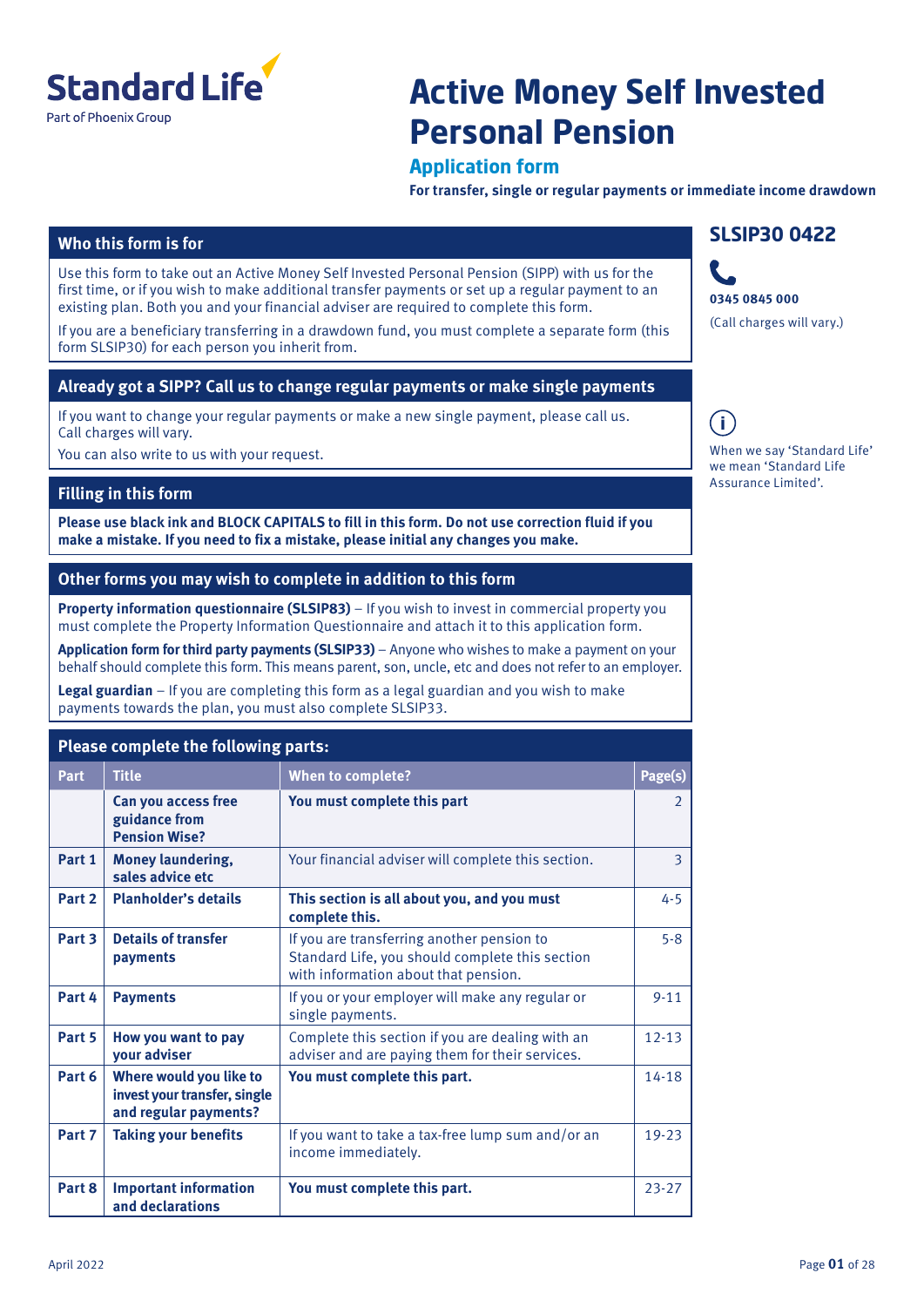

# **Active Money Self Invested Personal Pension**

### **Application form**

**For transfer, single or regular payments or immediate income drawdown**

### **Who this form is for**

Use this form to take out an Active Money Self Invested Personal Pension (SIPP) with us for the first time, or if you wish to make additional transfer payments or set up a regular payment to an existing plan. Both you and your financial adviser are required to complete this form.

If you are a beneficiary transferring in a drawdown fund, you must complete a separate form (this form SLSIP30) for each person you inherit from.

### **Already got a SIPP? Call us to change regular payments or make single payments**

If you want to change your regular payments or make a new single payment, please call us. Call charges will vary.

You can also write to us with your request.

### **Filling in this form**

**Please use black ink and BLOCK CAPITALS to fill in this form. Do not use correction fluid if you make a mistake. If you need to fix a mistake, please initial any changes you make.**

### **Other forms you may wish to complete in addition to this form**

**Property information questionnaire (SLSIP83)** – If you wish to invest in commercial property you must complete the Property Information Questionnaire and attach it to this application form.

**Application form for third party payments (SLSIP33)** – Anyone who wishes to make a payment on your behalf should complete this form. This means parent, son, uncle, etc and does not refer to an employer.

**Legal guardian** – If you are completing this form as a legal guardian and you wish to make payments towards the plan, you must also complete SLSIP33.

### **Please complete the following parts:**

| Part   | <b>Title</b>                                                                     | <b>When to complete?</b>                                                                                                              | Page(s)   |
|--------|----------------------------------------------------------------------------------|---------------------------------------------------------------------------------------------------------------------------------------|-----------|
|        | Can you access free<br>guidance from<br><b>Pension Wise?</b>                     | You must complete this part                                                                                                           | 2         |
| Part 1 | <b>Money laundering,</b><br>sales advice etc                                     | Your financial adviser will complete this section.                                                                                    | 3         |
| Part 2 | <b>Planholder's details</b>                                                      | This section is all about you, and you must<br>complete this.                                                                         | $4 - 5$   |
| Part 3 | <b>Details of transfer</b><br>payments                                           | If you are transferring another pension to<br>Standard Life, you should complete this section<br>with information about that pension. | $5 - 8$   |
| Part 4 | <b>Payments</b>                                                                  | If you or your employer will make any regular or<br>single payments.                                                                  | $9 - 11$  |
| Part 5 | How you want to pay<br>your adviser                                              | Complete this section if you are dealing with an<br>adviser and are paying them for their services.                                   | $12 - 13$ |
| Part 6 | Where would you like to<br>invest your transfer, single<br>and regular payments? | You must complete this part.                                                                                                          | $14 - 18$ |
| Part 7 | <b>Taking your benefits</b>                                                      | If you want to take a tax-free lump sum and/or an<br>income immediately.                                                              | $19 - 23$ |
| Part 8 | <b>Important information</b><br>and declarations                                 | You must complete this part.                                                                                                          | $23 - 27$ |

## **SLSIP30 0422**



 $\blacksquare$ When we say 'Standard Life'

we mean 'Standard Life Assurance Limited'.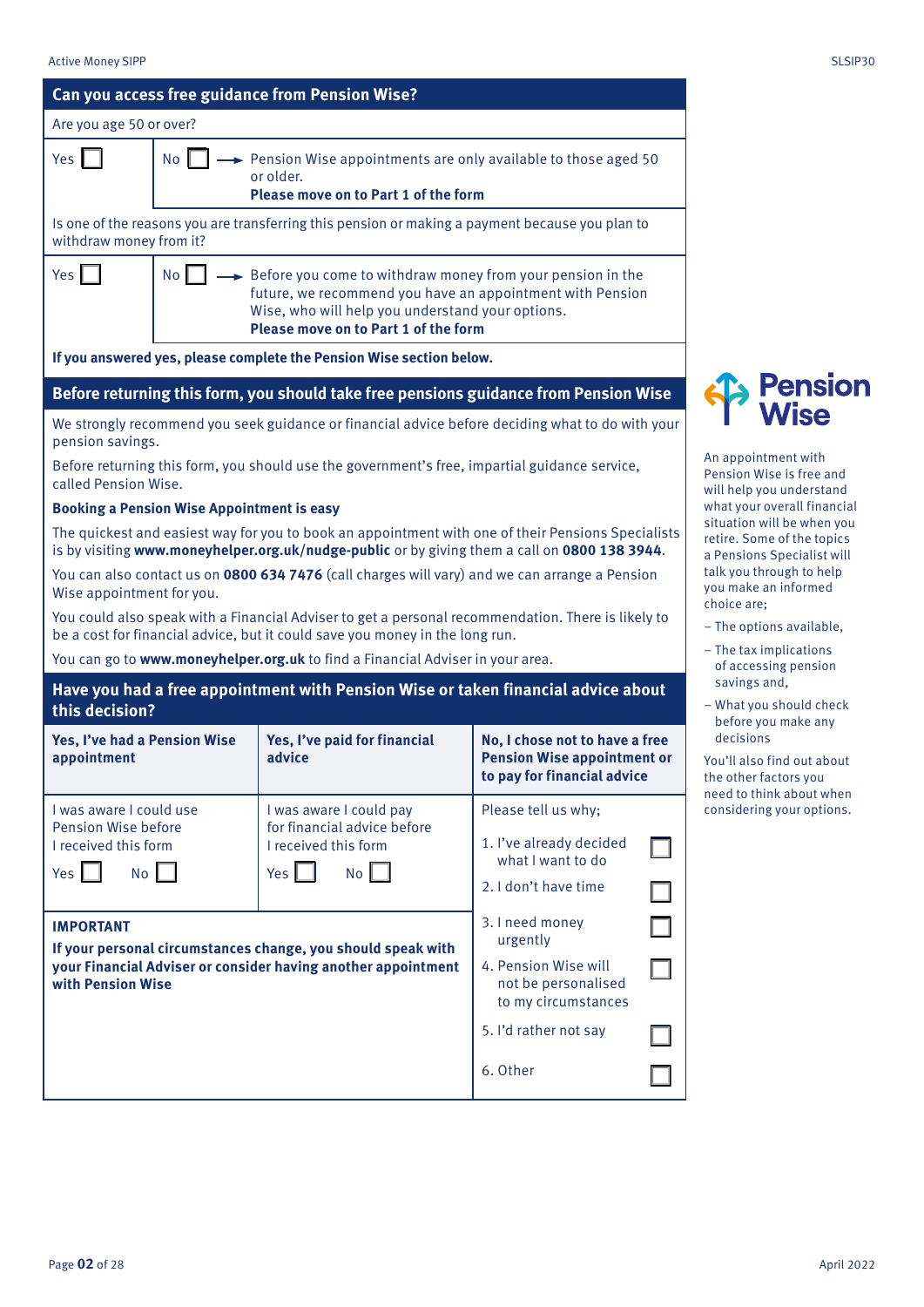| ×<br>۰. | ×<br>۰. | ×, |  |
|---------|---------|----|--|
|         |         |    |  |

**Pension Wise** 

|                                                                      |                                                                                                                                                                                   | Can you access free guidance from Pension Wise?                                                                                                                                                     |                                                                                                     |  |                                                                                                                                                                                                                                         |  |  |  |
|----------------------------------------------------------------------|-----------------------------------------------------------------------------------------------------------------------------------------------------------------------------------|-----------------------------------------------------------------------------------------------------------------------------------------------------------------------------------------------------|-----------------------------------------------------------------------------------------------------|--|-----------------------------------------------------------------------------------------------------------------------------------------------------------------------------------------------------------------------------------------|--|--|--|
| Are you age 50 or over?                                              |                                                                                                                                                                                   |                                                                                                                                                                                                     |                                                                                                     |  |                                                                                                                                                                                                                                         |  |  |  |
| Yes $\vert$                                                          | No                                                                                                                                                                                | Pension Wise appointments are only available to those aged 50<br>or older.<br>Please move on to Part 1 of the form                                                                                  |                                                                                                     |  |                                                                                                                                                                                                                                         |  |  |  |
| withdraw money from it?                                              |                                                                                                                                                                                   | Is one of the reasons you are transferring this pension or making a payment because you plan to                                                                                                     |                                                                                                     |  |                                                                                                                                                                                                                                         |  |  |  |
| Yes                                                                  | <b>No</b><br>$\rightarrow$ Before you come to withdraw money from your pension in the<br>Wise, who will help you understand your options.<br>Please move on to Part 1 of the form | future, we recommend you have an appointment with Pension                                                                                                                                           |                                                                                                     |  |                                                                                                                                                                                                                                         |  |  |  |
| If you answered yes, please complete the Pension Wise section below. |                                                                                                                                                                                   |                                                                                                                                                                                                     |                                                                                                     |  |                                                                                                                                                                                                                                         |  |  |  |
|                                                                      |                                                                                                                                                                                   | Before returning this form, you should take free pensions guidance from Pension Wise                                                                                                                |                                                                                                     |  | <b>Pension</b>                                                                                                                                                                                                                          |  |  |  |
| pension savings.                                                     |                                                                                                                                                                                   | We strongly recommend you seek guidance or financial advice before deciding what to do with your                                                                                                    |                                                                                                     |  | <b>Wise</b>                                                                                                                                                                                                                             |  |  |  |
| called Pension Wise.                                                 |                                                                                                                                                                                   | Before returning this form, you should use the government's free, impartial guidance service,                                                                                                       |                                                                                                     |  | An appointment with<br>Pension Wise is free and<br>will help you understand                                                                                                                                                             |  |  |  |
|                                                                      | <b>Booking a Pension Wise Appointment is easy</b>                                                                                                                                 |                                                                                                                                                                                                     |                                                                                                     |  | what your overall financial                                                                                                                                                                                                             |  |  |  |
|                                                                      |                                                                                                                                                                                   | The quickest and easiest way for you to book an appointment with one of their Pensions Specialists<br>is by visiting www.moneyhelper.org.uk/nudge-public or by giving them a call on 0800 138 3944. |                                                                                                     |  | situation will be when you<br>retire. Some of the topics<br>a Pensions Specialist will<br>talk you through to help<br>you make an informed<br>choice are:<br>- The options available,<br>- The tax implications<br>of accessing pension |  |  |  |
| Wise appointment for you.                                            |                                                                                                                                                                                   | You can also contact us on 0800 634 7476 (call charges will vary) and we can arrange a Pension                                                                                                      |                                                                                                     |  |                                                                                                                                                                                                                                         |  |  |  |
|                                                                      |                                                                                                                                                                                   | You could also speak with a Financial Adviser to get a personal recommendation. There is likely to<br>be a cost for financial advice, but it could save you money in the long run.                  |                                                                                                     |  |                                                                                                                                                                                                                                         |  |  |  |
|                                                                      |                                                                                                                                                                                   | You can go to www.moneyhelper.org.uk to find a Financial Adviser in your area.                                                                                                                      |                                                                                                     |  |                                                                                                                                                                                                                                         |  |  |  |
| this decision?                                                       |                                                                                                                                                                                   | Have you had a free appointment with Pension Wise or taken financial advice about                                                                                                                   |                                                                                                     |  | savings and,<br>- What you should check                                                                                                                                                                                                 |  |  |  |
| Yes, I've had a Pension Wise<br>appointment                          |                                                                                                                                                                                   | Yes, I've paid for financial<br>advice                                                                                                                                                              | No, I chose not to have a free<br><b>Pension Wise appointment or</b><br>to pay for financial advice |  | before you make any<br>decisions<br>You'll also find out about<br>the other factors you<br>need to think about when                                                                                                                     |  |  |  |
| I was aware I could use                                              |                                                                                                                                                                                   | I was aware I could pay                                                                                                                                                                             | Please tell us why;                                                                                 |  | considering your options.                                                                                                                                                                                                               |  |  |  |
| <b>Pension Wise before</b><br>I received this form                   |                                                                                                                                                                                   | for financial advice before<br>I received this form                                                                                                                                                 | 1. I've already decided<br>what I want to do                                                        |  |                                                                                                                                                                                                                                         |  |  |  |
| No  <br>Yes $\Box$                                                   |                                                                                                                                                                                   | $Yes$ $\Box$<br>No                                                                                                                                                                                  | 2. I don't have time                                                                                |  |                                                                                                                                                                                                                                         |  |  |  |
| <b>IMPORTANT</b>                                                     |                                                                                                                                                                                   | If your personal circumstances change, you should speak with                                                                                                                                        | 3. I need money<br>urgently                                                                         |  |                                                                                                                                                                                                                                         |  |  |  |
| with Pension Wise                                                    |                                                                                                                                                                                   | your Financial Adviser or consider having another appointment                                                                                                                                       | 4. Pension Wise will<br>not be personalised<br>to my circumstances                                  |  |                                                                                                                                                                                                                                         |  |  |  |
|                                                                      |                                                                                                                                                                                   |                                                                                                                                                                                                     | 5. I'd rather not say                                                                               |  |                                                                                                                                                                                                                                         |  |  |  |
|                                                                      |                                                                                                                                                                                   |                                                                                                                                                                                                     | 6. Other                                                                                            |  |                                                                                                                                                                                                                                         |  |  |  |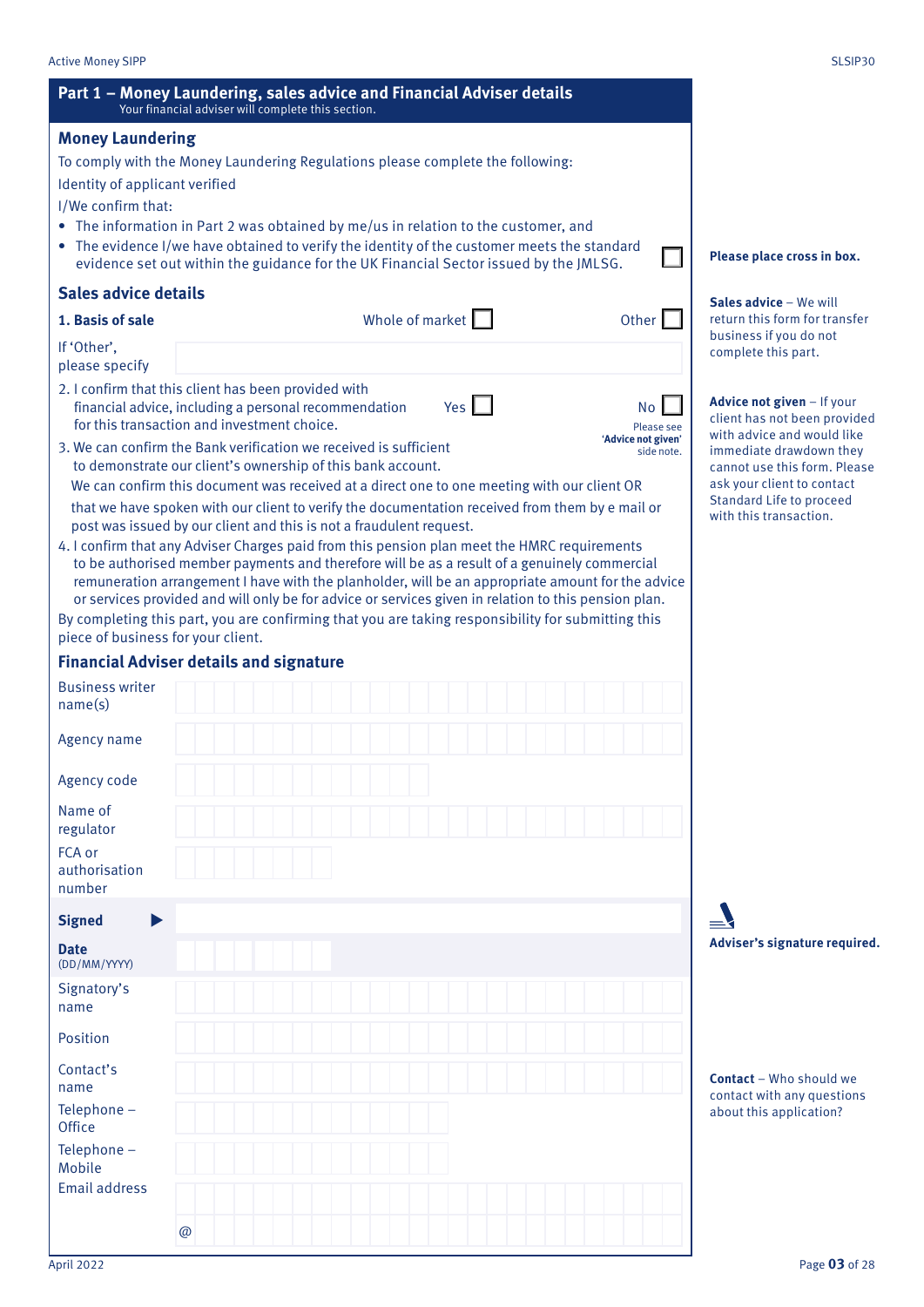|                                                                                                                                                                                      | Your financial adviser will complete this section. |  |                        |              |                                                                                                                                                                                                   |                                                                                          |
|--------------------------------------------------------------------------------------------------------------------------------------------------------------------------------------|----------------------------------------------------|--|------------------------|--------------|---------------------------------------------------------------------------------------------------------------------------------------------------------------------------------------------------|------------------------------------------------------------------------------------------|
| <b>Money Laundering</b>                                                                                                                                                              |                                                    |  |                        |              |                                                                                                                                                                                                   |                                                                                          |
| To comply with the Money Laundering Regulations please complete the following:                                                                                                       |                                                    |  |                        |              |                                                                                                                                                                                                   |                                                                                          |
| Identity of applicant verified                                                                                                                                                       |                                                    |  |                        |              |                                                                                                                                                                                                   |                                                                                          |
| I/We confirm that:                                                                                                                                                                   |                                                    |  |                        |              |                                                                                                                                                                                                   |                                                                                          |
| The information in Part 2 was obtained by me/us in relation to the customer, and                                                                                                     |                                                    |  |                        |              |                                                                                                                                                                                                   |                                                                                          |
| • The evidence I/we have obtained to verify the identity of the customer meets the standard<br>evidence set out within the guidance for the UK Financial Sector issued by the JMLSG. |                                                    |  |                        |              |                                                                                                                                                                                                   | Please place cross in box.                                                               |
| <b>Sales advice details</b>                                                                                                                                                          |                                                    |  |                        |              |                                                                                                                                                                                                   | Sales advice - We will                                                                   |
| 1. Basis of sale                                                                                                                                                                     |                                                    |  | Whole of market $\Box$ |              | Other                                                                                                                                                                                             | return this form for transfer<br>business if you do not                                  |
| If 'Other',<br>please specify                                                                                                                                                        |                                                    |  |                        |              |                                                                                                                                                                                                   | complete this part.                                                                      |
| 2. I confirm that this client has been provided with<br>financial advice, including a personal recommendation<br>for this transaction and investment choice.                         |                                                    |  |                        | $Yes$ $\Box$ | <b>No</b><br>Please see                                                                                                                                                                           | Advice not given - If your<br>client has not been provided<br>with advice and would like |
| 3. We can confirm the Bank verification we received is sufficient<br>to demonstrate our client's ownership of this bank account.                                                     |                                                    |  |                        |              | 'Advice not given'<br>side note.                                                                                                                                                                  | immediate drawdown they<br>cannot use this form. Please                                  |
|                                                                                                                                                                                      |                                                    |  |                        |              | We can confirm this document was received at a direct one to one meeting with our client OR<br>that we have spoken with our client to verify the documentation received from them by e mail or    | ask your client to contact<br>Standard Life to proceed                                   |
| post was issued by our client and this is not a fraudulent request.                                                                                                                  |                                                    |  |                        |              |                                                                                                                                                                                                   | with this transaction.                                                                   |
| 4. I confirm that any Adviser Charges paid from this pension plan meet the HMRC requirements                                                                                         |                                                    |  |                        |              | to be authorised member payments and therefore will be as a result of a genuinely commercial<br>remuneration arrangement I have with the planholder, will be an appropriate amount for the advice |                                                                                          |
|                                                                                                                                                                                      |                                                    |  |                        |              | or services provided and will only be for advice or services given in relation to this pension plan.                                                                                              |                                                                                          |
| piece of business for your client.                                                                                                                                                   |                                                    |  |                        |              | By completing this part, you are confirming that you are taking responsibility for submitting this                                                                                                |                                                                                          |
| <b>Financial Adviser details and signature</b>                                                                                                                                       |                                                    |  |                        |              |                                                                                                                                                                                                   |                                                                                          |
| <b>Business writer</b>                                                                                                                                                               |                                                    |  |                        |              |                                                                                                                                                                                                   |                                                                                          |
| name(s)                                                                                                                                                                              |                                                    |  |                        |              |                                                                                                                                                                                                   |                                                                                          |
| Agency name                                                                                                                                                                          |                                                    |  |                        |              |                                                                                                                                                                                                   |                                                                                          |
| Agency code                                                                                                                                                                          |                                                    |  |                        |              |                                                                                                                                                                                                   |                                                                                          |
| Name of<br>regulator                                                                                                                                                                 |                                                    |  |                        |              |                                                                                                                                                                                                   |                                                                                          |
| FCA or<br>authorisation                                                                                                                                                              |                                                    |  |                        |              |                                                                                                                                                                                                   |                                                                                          |
| number                                                                                                                                                                               |                                                    |  |                        |              |                                                                                                                                                                                                   |                                                                                          |
| <b>Signed</b><br>$\blacktriangleright$                                                                                                                                               |                                                    |  |                        |              |                                                                                                                                                                                                   |                                                                                          |
| <b>Date</b><br>(DD/MM/YYYY)                                                                                                                                                          |                                                    |  |                        |              |                                                                                                                                                                                                   | Adviser's signature required.                                                            |
| Signatory's<br>name                                                                                                                                                                  |                                                    |  |                        |              |                                                                                                                                                                                                   |                                                                                          |
| Position                                                                                                                                                                             |                                                    |  |                        |              |                                                                                                                                                                                                   |                                                                                          |
| Contact's<br>name                                                                                                                                                                    |                                                    |  |                        |              |                                                                                                                                                                                                   | <b>Contact</b> - Who should we                                                           |
| Telephone-<br>Office                                                                                                                                                                 |                                                    |  |                        |              |                                                                                                                                                                                                   | contact with any questions<br>about this application?                                    |
| Telephone-<br>Mobile                                                                                                                                                                 |                                                    |  |                        |              |                                                                                                                                                                                                   |                                                                                          |
| <b>Email address</b>                                                                                                                                                                 |                                                    |  |                        |              |                                                                                                                                                                                                   |                                                                                          |
|                                                                                                                                                                                      | @                                                  |  |                        |              |                                                                                                                                                                                                   |                                                                                          |
|                                                                                                                                                                                      |                                                    |  |                        |              |                                                                                                                                                                                                   |                                                                                          |

**Part 1 – Money Laundering, sales advice and Financial Adviser details**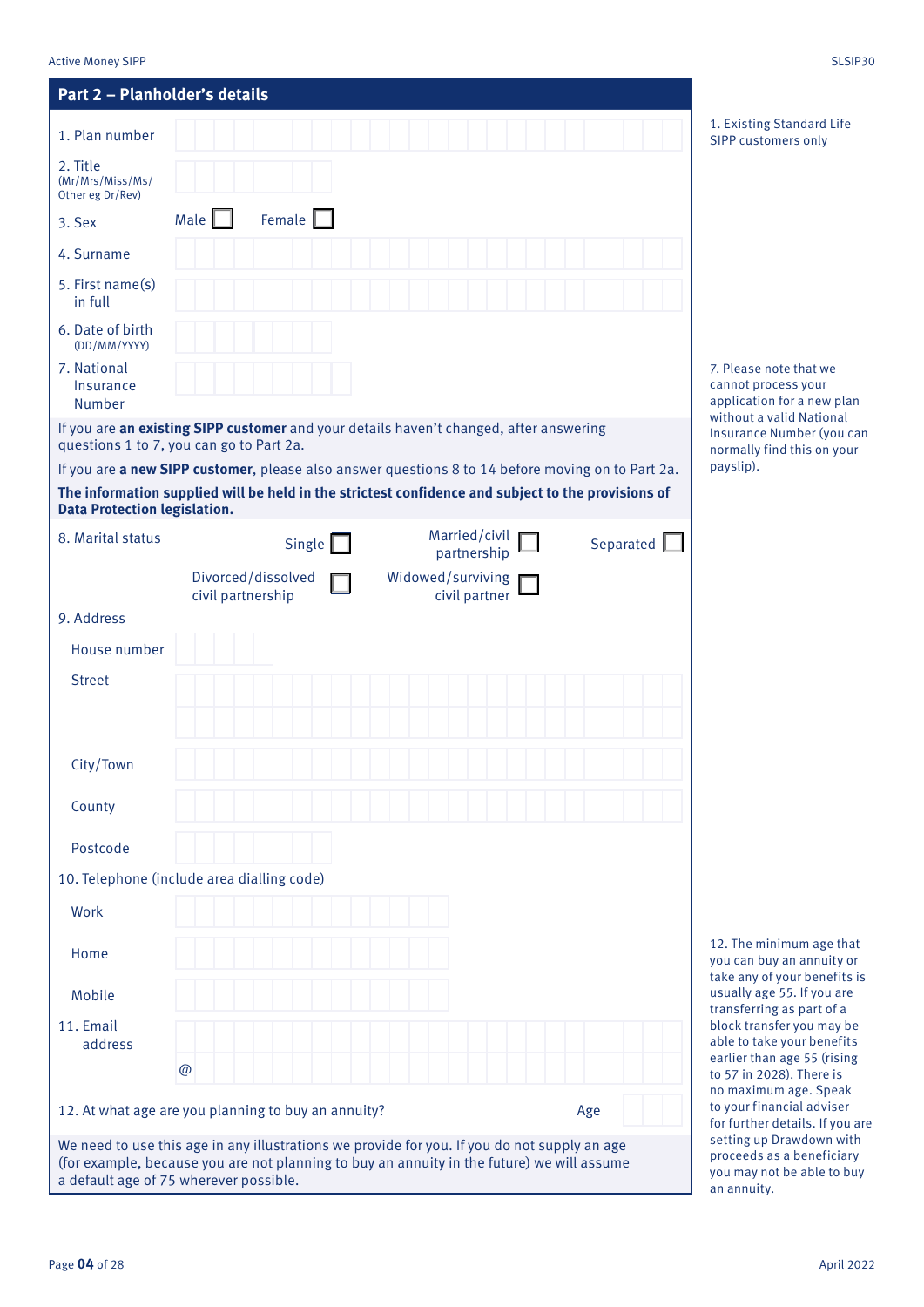Mobile

11. Email address

@

a default age of 75 wherever possible.

|                                                  | Part 2 - Planholder's details |               |                                                                                                    |           |                                                                                     |
|--------------------------------------------------|-------------------------------|---------------|----------------------------------------------------------------------------------------------------|-----------|-------------------------------------------------------------------------------------|
| 1. Plan number                                   |                               |               |                                                                                                    |           | 1. Existing Standard Life<br>SIPP customers only                                    |
| 2. Title<br>(Mr/Mrs/Miss/Ms/<br>Other eg Dr/Rev) |                               |               |                                                                                                    |           |                                                                                     |
| 3. Sex                                           | Male                          | Female        |                                                                                                    |           |                                                                                     |
| 4. Surname                                       |                               |               |                                                                                                    |           |                                                                                     |
| 5. First name(s)<br>in full                      |                               |               |                                                                                                    |           |                                                                                     |
| 6. Date of birth<br>(DD/MM/YYYY)                 |                               |               |                                                                                                    |           |                                                                                     |
|                                                  |                               |               |                                                                                                    |           |                                                                                     |
| 7. National<br>Insurance<br>Number               |                               |               |                                                                                                    |           | 7. Please note that we<br>cannot process your<br>application for a new plan         |
|                                                  |                               |               | If you are an existing SIPP customer and your details haven't changed, after answering             |           |                                                                                     |
| questions 1 to 7, you can go to Part 2a.         |                               |               | If you are a new SIPP customer, please also answer questions 8 to 14 before moving on to Part 2a.  |           | payslip).                                                                           |
| <b>Data Protection legislation.</b>              |                               |               | The information supplied will be held in the strictest confidence and subject to the provisions of |           | without a valid National<br>Insurance Number (you can<br>normally find this on your |
| 8. Marital status                                |                               | Single $\Box$ | Married/civil                                                                                      | Separated |                                                                                     |
|                                                  | Divorced/dissolved            |               | partnership<br>Widowed/surviving                                                                   |           |                                                                                     |
|                                                  | civil partnership             |               | civil partner                                                                                      |           |                                                                                     |
| 9. Address<br>House number                       |                               |               |                                                                                                    |           |                                                                                     |
| <b>Street</b>                                    |                               |               |                                                                                                    |           |                                                                                     |
|                                                  |                               |               |                                                                                                    |           |                                                                                     |
|                                                  |                               |               |                                                                                                    |           |                                                                                     |
| City/Town                                        |                               |               |                                                                                                    |           |                                                                                     |
| County                                           |                               |               |                                                                                                    |           |                                                                                     |

> 12. The minimum age that you can buy an annuity or take any of your benefits is usually age 55. If you are transferring as part of a block transfer you may be able to take your benefits earlier than age 55 (rising to 57 in 2028). There is no maximum age. Speak to your financial adviser for further details. If you are setting up Drawdown with proceeds as a beneficiary you may not be able to buy an annuity.

12. At what age are you planning to buy an annuity? Age We need to use this age in any illustrations we provide for you. If you do not supply an age (for example, because you are not planning to buy an annuity in the future) we will assume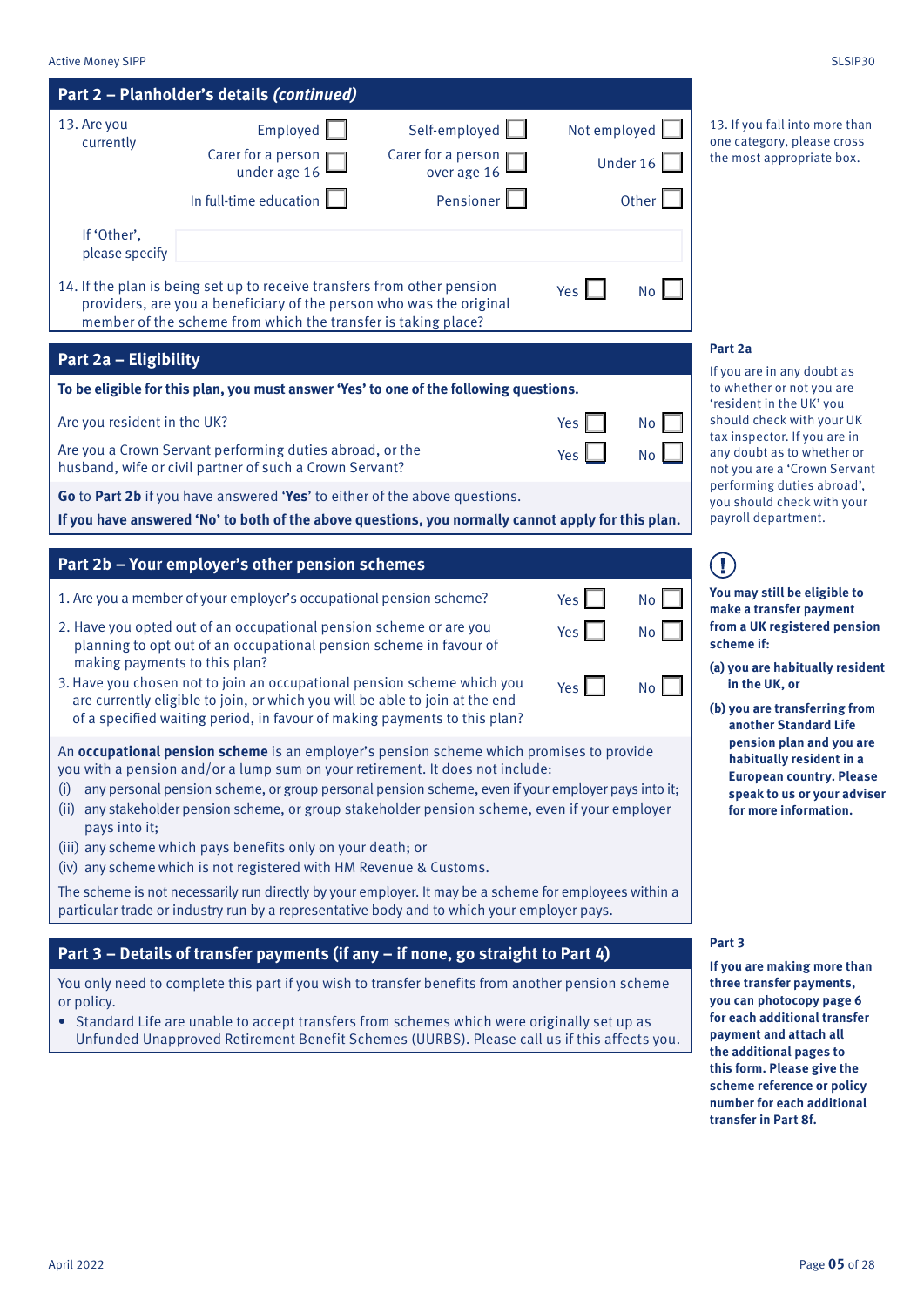| <b>Active Money SIPP</b>      |                                                                                                                                                                                                                                                                                                                                                                                    |                                                                 |              |                     | SLSIP30                                                                                                                                         |
|-------------------------------|------------------------------------------------------------------------------------------------------------------------------------------------------------------------------------------------------------------------------------------------------------------------------------------------------------------------------------------------------------------------------------|-----------------------------------------------------------------|--------------|---------------------|-------------------------------------------------------------------------------------------------------------------------------------------------|
|                               | Part 2 - Planholder's details (continued)                                                                                                                                                                                                                                                                                                                                          |                                                                 |              |                     |                                                                                                                                                 |
| 13. Are you<br>currently      | Employed<br>Carer for a person<br>under age 16<br>In full-time education                                                                                                                                                                                                                                                                                                           | Self-employed<br>Carer for a person<br>over age 16<br>Pensioner | Not employed | Under $16$<br>Other | 13. If you fall into more than<br>one category, please cross<br>the most appropriate box.                                                       |
| If 'Other',<br>please specify |                                                                                                                                                                                                                                                                                                                                                                                    |                                                                 |              |                     |                                                                                                                                                 |
|                               | 14. If the plan is being set up to receive transfers from other pension<br>providers, are you a beneficiary of the person who was the original<br>member of the scheme from which the transfer is taking place?                                                                                                                                                                    |                                                                 | Yes I        | No                  |                                                                                                                                                 |
| Part 2a - Eligibility         |                                                                                                                                                                                                                                                                                                                                                                                    |                                                                 |              |                     | Part 2a                                                                                                                                         |
|                               | To be eligible for this plan, you must answer 'Yes' to one of the following questions.                                                                                                                                                                                                                                                                                             |                                                                 |              |                     | If you are in any doubt as<br>to whether or not you are                                                                                         |
| Are you resident in the UK?   | Are you a Crown Servant performing duties abroad, or the                                                                                                                                                                                                                                                                                                                           |                                                                 | Yes          | No <sub>1</sub>     | 'resident in the UK' you<br>should check with your UK<br>tax inspector. If you are in                                                           |
|                               | husband, wife or civil partner of such a Crown Servant?                                                                                                                                                                                                                                                                                                                            |                                                                 | Yes          | <b>No</b>           | any doubt as to whether or<br>not you are a 'Crown Servant<br>performing duties abroad',                                                        |
|                               | Go to Part 2b if you have answered 'Yes' to either of the above questions.<br>If you have answered 'No' to both of the above questions, you normally cannot apply for this plan.                                                                                                                                                                                                   |                                                                 |              |                     | you should check with your<br>payroll department.                                                                                               |
|                               |                                                                                                                                                                                                                                                                                                                                                                                    |                                                                 |              |                     |                                                                                                                                                 |
|                               | Part 2b - Your employer's other pension schemes                                                                                                                                                                                                                                                                                                                                    |                                                                 |              |                     | $\left( \mathbf{l}\right)$                                                                                                                      |
|                               | 1. Are you a member of your employer's occupational pension scheme?                                                                                                                                                                                                                                                                                                                |                                                                 | Yes          | No                  | You may still be eligible to<br>make a transfer payment                                                                                         |
| making payments to this plan? | 2. Have you opted out of an occupational pension scheme or are you<br>planning to opt out of an occupational pension scheme in favour of                                                                                                                                                                                                                                           |                                                                 | Yes          | No                  | from a UK registered pension<br>scheme if:<br>(a) you are habitually resident                                                                   |
|                               | 3. Have you chosen not to join an occupational pension scheme which you<br>are currently eligible to join, or which you will be able to join at the end<br>of a specified waiting period, in favour of making payments to this plan?                                                                                                                                               |                                                                 | Yes          | No <sub>l</sub>     | in the UK, or<br>(b) you are transferring from<br>another Standard Life                                                                         |
| (i)<br>pays into it;          | An occupational pension scheme is an employer's pension scheme which promises to provide<br>you with a pension and/or a lump sum on your retirement. It does not include:<br>any personal pension scheme, or group personal pension scheme, even if your employer pays into it;<br>(ii) any stakeholder pension scheme, or group stakeholder pension scheme, even if your employer |                                                                 |              |                     | pension plan and you are<br>habitually resident in a<br><b>European country. Please</b><br>speak to us or your adviser<br>for more information. |
|                               | (iii) any scheme which pays benefits only on your death; or<br>(iv) any scheme which is not registered with HM Revenue & Customs.                                                                                                                                                                                                                                                  |                                                                 |              |                     |                                                                                                                                                 |
|                               | The scheme is not necessarily run directly by your employer. It may be a scheme for employees within a<br>particular trade or industry run by a representative body and to which your employer pays.                                                                                                                                                                               |                                                                 |              |                     |                                                                                                                                                 |
|                               | Part 3 - Details of transfer payments (if any - if none, go straight to Part 4)                                                                                                                                                                                                                                                                                                    |                                                                 |              |                     | Part 3                                                                                                                                          |
|                               | You only need to complete this part if you wish to transfer benefits from another pension scheme                                                                                                                                                                                                                                                                                   |                                                                 |              |                     | If you are making more than<br>three transfer payments,                                                                                         |
| or policy.                    | • Standard Life are unable to accept transfers from schemes which were originally set up as<br>Unfunded Unapproved Retirement Benefit Schemes (UURBS). Please call us if this affects you.                                                                                                                                                                                         |                                                                 |              |                     | you can photocopy page 6<br>for each additional transfer<br>payment and attach all<br>the additional pages to                                   |
|                               |                                                                                                                                                                                                                                                                                                                                                                                    |                                                                 |              |                     | this form. Please give the<br>scheme reference or policy<br>number for each additional                                                          |

**transfer in Part 8f.**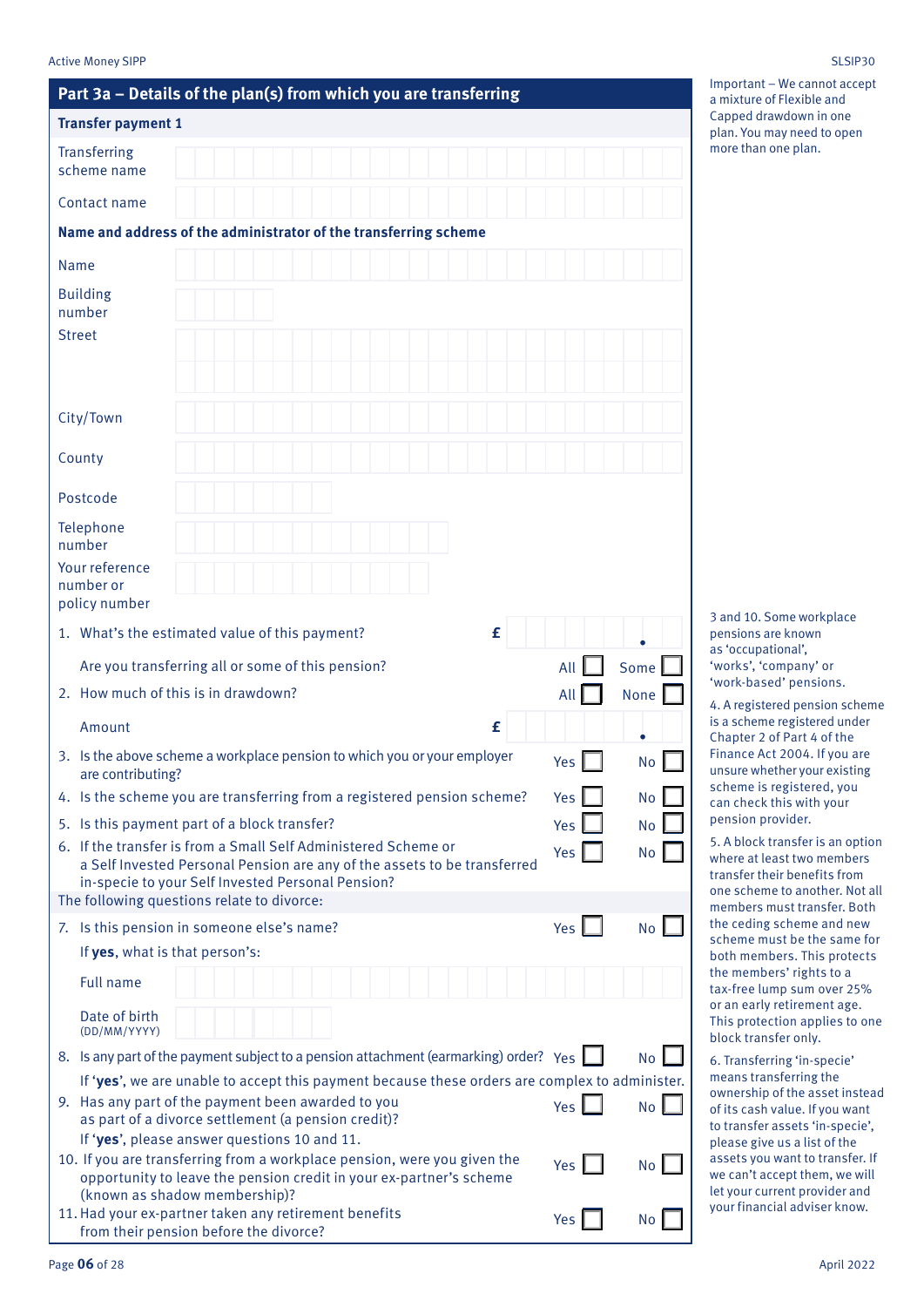| SLSIP30 |
|---------|
|         |

## **Part 3a – Details of the plan(s) from which you are transferring Transfer payment 1 Transferring** scheme name Contact name **Name and address of the administrator of the transferring scheme** Name Building number Street City/Town County Postcode Telephone number Your reference number or policy number 1. What's the estimated value of this payment? **£ .** Are you transferring all or some of this pension?  $\overline{\phantom{a}}$  All  $\overline{\phantom{a}}$  Some 2. How much of this is in drawdown?  $\blacksquare$  All  $\blacksquare$  None Amount **£ .** 3. Is the above scheme a workplace pension to which you or your employer are contributing?  $Yes \Box$  No 4. Is the scheme you are transferring from a registered pension scheme?  $Yes \Box$  No 5. Is this payment part of a block transfer?  $Yes \Box$  No 6. If the transfer is from a Small Self Administered Scheme or a Self Invested Personal Pension are any of the assets to be transferred in-specie to your Self Invested Personal Pension? Yes No The following questions relate to divorce: 7. Is this pension in someone else's name?  $Y_{\text{eq}}$  and  $Y_{\text{eq}}$  and  $Y_{\text{eq}}$ If **yes**, what is that person's: Full name Date of birth (DD/MM/YYYY) 8. Is any part of the payment subject to a pension attachment (earmarking) order? Yes  $\Box$  No If '**yes**', we are unable to accept this payment because these orders are complex to administer. 9. Has any part of the payment been awarded to you as part of a divorce settlement (a pension credit)? Yes **I** No If '**yes**', please answer questions 10 and 11. 10. If you are transferring from a workplace pension, were you given the opportunity to leave the pension credit in your ex-partner's scheme (known as shadow membership)?  $Yes \nightharpoonup No$

Important – We cannot accept a mixture of Flexible and Capped drawdown in one plan. You may need to open more than one plan.

3 and 10. Some workplace pensions are known as 'occupational', 'works', 'company' or 'work-based' pensions.

4. A registered pension scheme is a scheme registered under Chapter 2 of Part 4 of the Finance Act 2004. If you are unsure whether your existing scheme is registered, you can check this with your pension provider.

5. A block transfer is an option where at least two members transfer their benefits from one scheme to another. Not all members must transfer. Both the ceding scheme and new scheme must be the same for both members. This protects the members' rights to a tax-free lump sum over 25% or an early retirement age. This protection applies to one block transfer only.

6. Transferring 'in-specie' means transferring the ownership of the asset instead of its cash value. If you want to transfer assets 'in-specie', please give us a list of the assets you want to transfer. If we can't accept them, we will let your current provider and your financial adviser know.

 $Yes \Box$  No

11.Had your ex-partner taken any retirement benefits

from their pension before the divorce?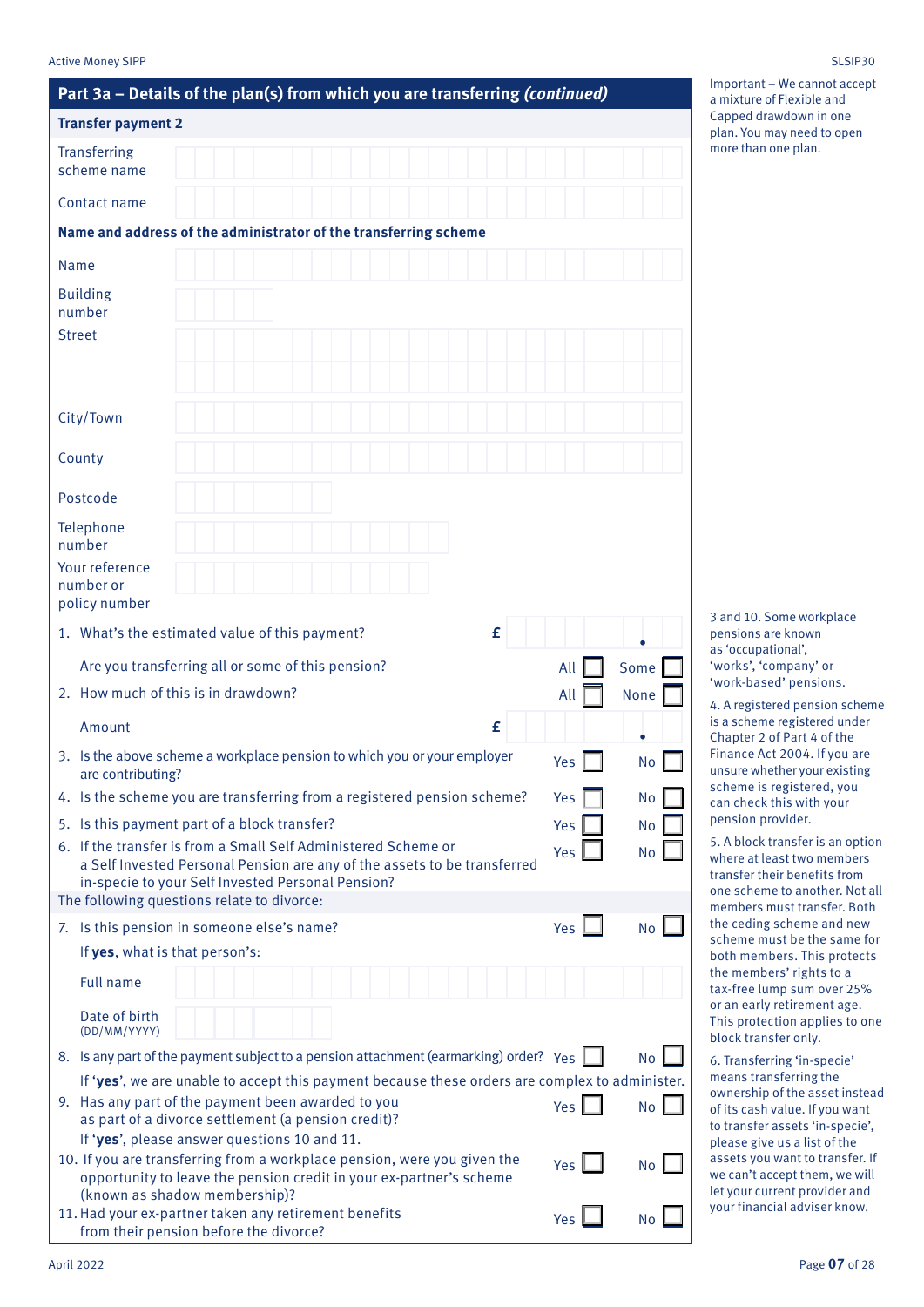### Active Money SIPP SLSIP30

| Part 3a - Details of the plan(s) from which you are transferring (continued)                                                                                                                                                                  |                 |           |
|-----------------------------------------------------------------------------------------------------------------------------------------------------------------------------------------------------------------------------------------------|-----------------|-----------|
| <b>Transfer payment 2</b>                                                                                                                                                                                                                     |                 |           |
| <b>Transferring</b><br>scheme name                                                                                                                                                                                                            |                 |           |
| Contact name                                                                                                                                                                                                                                  |                 |           |
| Name and address of the administrator of the transferring scheme                                                                                                                                                                              |                 |           |
| Name                                                                                                                                                                                                                                          |                 |           |
| <b>Building</b><br>number<br><b>Street</b>                                                                                                                                                                                                    |                 |           |
| City/Town                                                                                                                                                                                                                                     |                 |           |
| County                                                                                                                                                                                                                                        |                 |           |
| Postcode                                                                                                                                                                                                                                      |                 |           |
| Telephone                                                                                                                                                                                                                                     |                 |           |
| number                                                                                                                                                                                                                                        |                 |           |
| Your reference<br>number or<br>policy number                                                                                                                                                                                                  |                 |           |
| £<br>1. What's the estimated value of this payment?                                                                                                                                                                                           |                 |           |
| Are you transferring all or some of this pension?                                                                                                                                                                                             | All             | Some      |
| 2. How much of this is in drawdown?                                                                                                                                                                                                           | All             | None      |
| £<br>Amount                                                                                                                                                                                                                                   |                 |           |
| 3. Is the above scheme a workplace pension to which you or your employer<br>are contributing?                                                                                                                                                 | Yes $\parallel$ | No        |
| 4. Is the scheme you are transferring from a registered pension scheme?                                                                                                                                                                       | Yes             | No        |
| 5. Is this payment part of a block transfer?                                                                                                                                                                                                  | Yes             | No        |
| 6. If the transfer is from a Small Self Administered Scheme or<br>a Self Invested Personal Pension are any of the assets to be transferred<br>in-specie to your Self Invested Personal Pension?<br>The following questions relate to divorce: | Yes             | No        |
| 7. Is this pension in someone else's name?                                                                                                                                                                                                    | Yes L           | No        |
| If yes, what is that person's:                                                                                                                                                                                                                |                 |           |
| <b>Full name</b>                                                                                                                                                                                                                              |                 |           |
| Date of birth<br>(DD/MM/YYYY)                                                                                                                                                                                                                 |                 |           |
| 8. Is any part of the payment subject to a pension attachment (earmarking) order? Yes                                                                                                                                                         |                 | No        |
| If 'yes', we are unable to accept this payment because these orders are complex to administer.<br>9. Has any part of the payment been awarded to you<br>as part of a divorce settlement (a pension credit)?                                   | Yes             | <b>No</b> |
| If 'yes', please answer questions 10 and 11.<br>10. If you are transferring from a workplace pension, were you given the<br>opportunity to leave the pension credit in your ex-partner's scheme                                               | Yes             | <b>No</b> |
| (known as shadow membership)?<br>11. Had your ex-partner taken any retirement benefits<br>from their pension before the divorce?                                                                                                              | Yes             | No        |

Important – We cannot accept a mixture of Flexible and Capped drawdown in one plan. You may need to open more than one plan.

3 and 10. Some workplace pensions are known as 'occupational', 'works', 'company' or 'work-based' pensions.

4. A registered pension scheme is a scheme registered under Chapter 2 of Part 4 of the Finance Act 2004. If you are unsure whether your existing scheme is registered, you can check this with your pension provider.

5. A block transfer is an option where at least two members transfer their benefits from one scheme to another. Not all members must transfer. Both the ceding scheme and new scheme must be the same for both members. This protects the members' rights to a tax-free lump sum over 25% or an early retirement age. This protection applies to one block transfer only.

6. Transferring 'in-specie' means transferring the ownership of the asset instead of its cash value. If you want to transfer assets 'in-specie', please give us a list of the assets you want to transfer. If we can't accept them, we will let your current provider and your financial adviser know.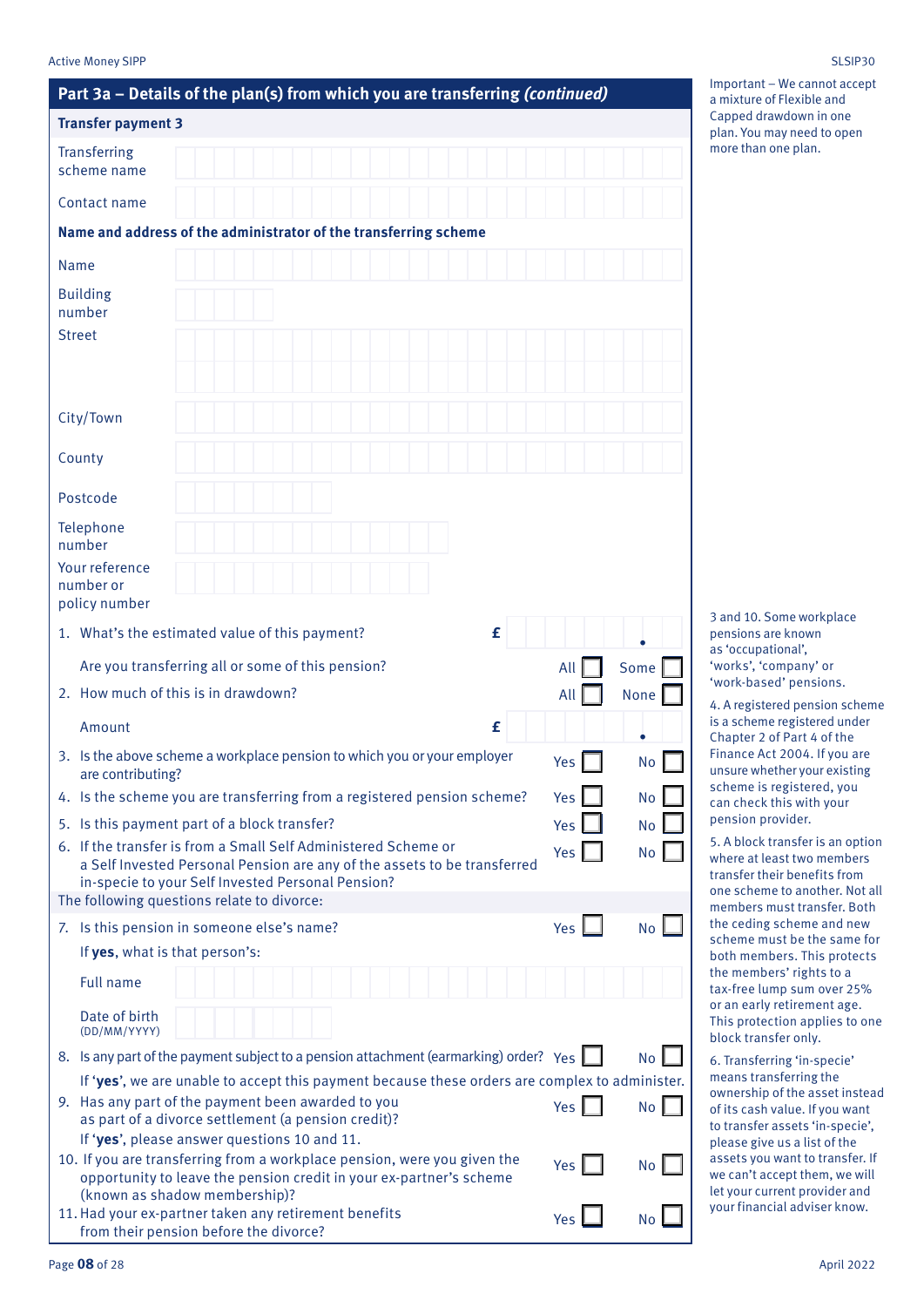### Active Money SIPP SLSIP30

| Part 3a - Details of the plan(s) from which you are transferring (continued)                                                                                                                                                                  |                  |           |
|-----------------------------------------------------------------------------------------------------------------------------------------------------------------------------------------------------------------------------------------------|------------------|-----------|
| <b>Transfer payment 3</b>                                                                                                                                                                                                                     |                  |           |
| <b>Transferring</b><br>scheme name                                                                                                                                                                                                            |                  |           |
| Contact name                                                                                                                                                                                                                                  |                  |           |
| Name and address of the administrator of the transferring scheme                                                                                                                                                                              |                  |           |
| Name                                                                                                                                                                                                                                          |                  |           |
| <b>Building</b><br>number<br><b>Street</b>                                                                                                                                                                                                    |                  |           |
| City/Town                                                                                                                                                                                                                                     |                  |           |
| County                                                                                                                                                                                                                                        |                  |           |
| Postcode                                                                                                                                                                                                                                      |                  |           |
| Telephone                                                                                                                                                                                                                                     |                  |           |
| number                                                                                                                                                                                                                                        |                  |           |
| Your reference<br>number or<br>policy number                                                                                                                                                                                                  |                  |           |
| £<br>1. What's the estimated value of this payment?                                                                                                                                                                                           |                  |           |
| Are you transferring all or some of this pension?                                                                                                                                                                                             | All              | Some      |
| 2. How much of this is in drawdown?                                                                                                                                                                                                           | All              | None      |
| £<br>Amount                                                                                                                                                                                                                                   |                  |           |
| 3. Is the above scheme a workplace pension to which you or your employer<br>are contributing?                                                                                                                                                 | Yes              | No        |
| 4. Is the scheme you are transferring from a registered pension scheme?                                                                                                                                                                       | <b>Yes</b>       | No        |
| 5. Is this payment part of a block transfer?                                                                                                                                                                                                  | <b>Yes</b>       | No        |
| 6. If the transfer is from a Small Self Administered Scheme or<br>a Self Invested Personal Pension are any of the assets to be transferred<br>in-specie to your Self Invested Personal Pension?<br>The following questions relate to divorce: | Yes              | No        |
| 7. Is this pension in someone else's name?                                                                                                                                                                                                    | Yes $\mathsf{L}$ | No        |
| If yes, what is that person's:                                                                                                                                                                                                                |                  |           |
| <b>Full name</b>                                                                                                                                                                                                                              |                  |           |
| Date of birth<br>(DD/MM/YYYY)                                                                                                                                                                                                                 |                  |           |
| 8. Is any part of the payment subject to a pension attachment (earmarking) order? Yes                                                                                                                                                         |                  | <b>No</b> |
| If 'yes', we are unable to accept this payment because these orders are complex to administer.<br>9. Has any part of the payment been awarded to you<br>as part of a divorce settlement (a pension credit)?                                   | Yes              | No        |
| If 'yes', please answer questions 10 and 11.<br>10. If you are transferring from a workplace pension, were you given the<br>opportunity to leave the pension credit in your ex-partner's scheme                                               | Yes              | No        |
| (known as shadow membership)?<br>11. Had your ex-partner taken any retirement benefits<br>from their pension before the divorce?                                                                                                              | Yes              | No        |

Important – We cannot accept a mixture of Flexible and Capped drawdown in one plan. You may need to open more than one plan.

3 and 10. Some workplace pensions are known as 'occupational', 'works', 'company' or 'work-based' pensions.

4. A registered pension scheme is a scheme registered under Chapter 2 of Part 4 of the Finance Act 2004. If you are unsure whether your existing scheme is registered, you can check this with your pension provider.

5. A block transfer is an option where at least two members transfer their benefits from one scheme to another. Not all members must transfer. Both the ceding scheme and new scheme must be the same for both members. This protects the members' rights to a tax-free lump sum over 25% or an early retirement age. This protection applies to one block transfer only.

6. Transferring 'in-specie' means transferring the ownership of the asset instead of its cash value. If you want to transfer assets 'in-specie', please give us a list of the assets you want to transfer. If we can't accept them, we will let your current provider and your financial adviser know.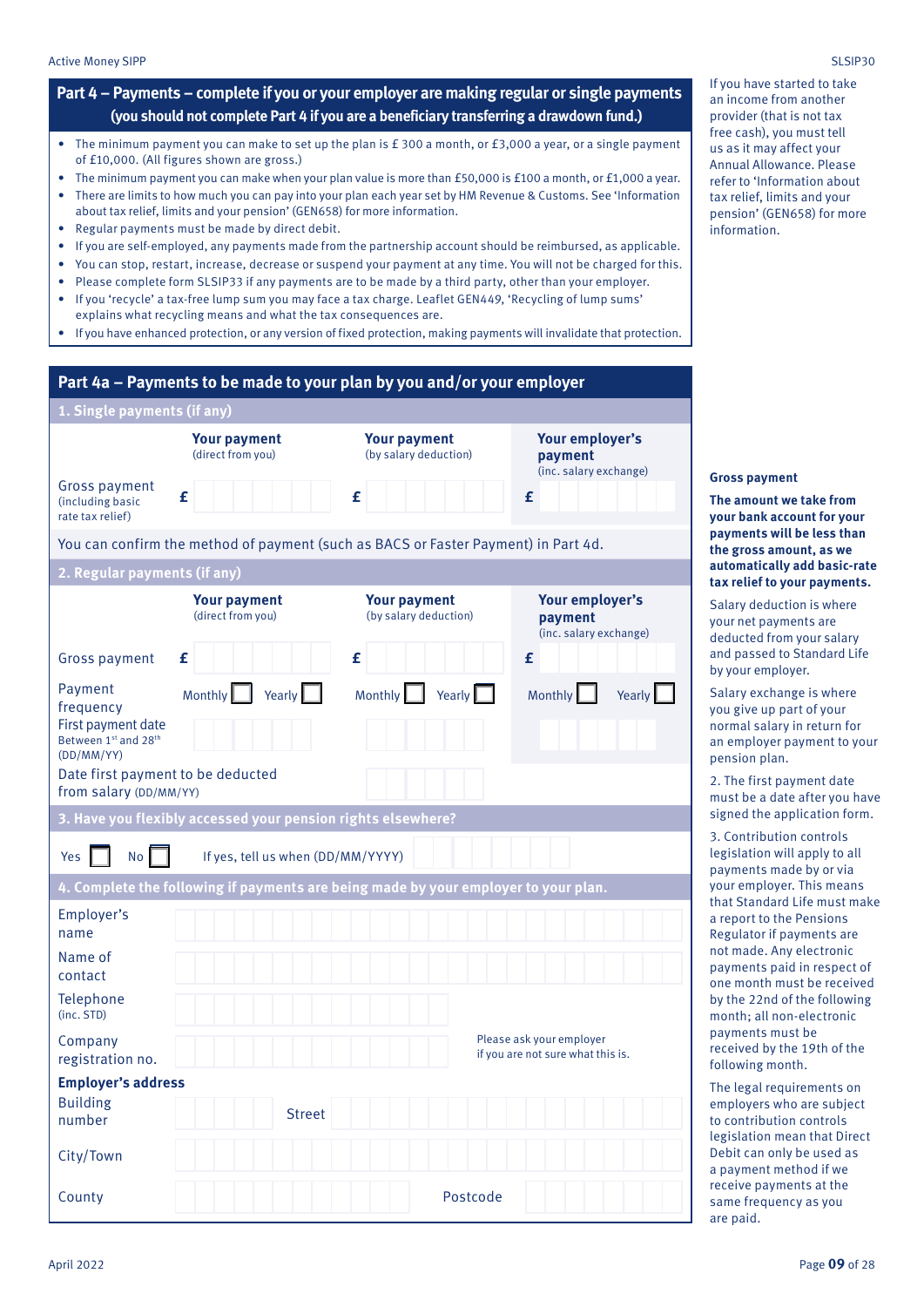### **Part 4 – Payments – complete if you or your employer are making regular or single payments (you should not complete Part 4 if you are a beneficiary transferring a drawdown fund.)**

- The minimum payment you can make to set up the plan is £ 300 a month, or £3,000 a year, or a single payment of £10,000. (All figures shown are gross.)
- The minimum payment you can make when your plan value is more than £50,000 is £100 a month, or £1,000 a year. • There are limits to how much you can pay into your plan each year set by HM Revenue & Customs. See 'Information about tax relief, limits and your pension' (GEN658) for more information.
- Regular payments must be made by direct debit.
- If you are self-employed, any payments made from the partnership account should be reimbursed, as applicable.
- You can stop, restart, increase, decrease or suspend your payment at any time. You will not be charged for this.
- Please complete form SLSIP33 if any payments are to be made by a third party, other than your employer.
- If you 'recycle' a tax-free lump sum you may face a tax charge. Leaflet GEN449, 'Recycling of lump sums' explains what recycling means and what the tax consequences are.
- If you have enhanced protection, or any version of fixed protection, making payments will invalidate that protection.

|                                                                                                                       |                                                              | Part 4a – Payments to be made to your plan by you and/or your employer              |                                                               |
|-----------------------------------------------------------------------------------------------------------------------|--------------------------------------------------------------|-------------------------------------------------------------------------------------|---------------------------------------------------------------|
| 1. Single payments (if any)                                                                                           |                                                              |                                                                                     |                                                               |
| Gross payment<br>(including basic<br>rate tax relief)                                                                 | <b>Your payment</b><br>(direct from you)<br>£                | <b>Your payment</b><br>(by salary deduction)<br>£                                   | Your employer's<br>payment<br>(inc. salary exchange)<br>£     |
|                                                                                                                       |                                                              | You can confirm the method of payment (such as BACS or Faster Payment) in Part 4d.  |                                                               |
| 2. Regular payments (if any)                                                                                          |                                                              |                                                                                     |                                                               |
|                                                                                                                       | <b>Your payment</b><br>(direct from you)                     | <b>Your payment</b><br>(by salary deduction)                                        | Your employer's<br>payment<br>(inc. salary exchange)          |
| <b>Gross payment</b>                                                                                                  | £                                                            | £                                                                                   | £                                                             |
| Payment<br>frequency<br>First payment date<br>Between 1st and 28th<br>(DD/MM/YY)<br>Date first payment to be deducted | Monthly<br>Yearly                                            | Monthly<br>Yearly                                                                   | Monthly<br>Yearly                                             |
| from salary (DD/MM/YY)                                                                                                |                                                              |                                                                                     |                                                               |
|                                                                                                                       | 3. Have you flexibly accessed your pension rights elsewhere? |                                                                                     |                                                               |
| <b>No</b><br>Yes                                                                                                      | If yes, tell us when (DD/MM/YYYY)                            |                                                                                     |                                                               |
|                                                                                                                       |                                                              | 4. Complete the following if payments are being made by your employer to your plan. |                                                               |
| Employer's<br>name                                                                                                    |                                                              |                                                                                     |                                                               |
| Name of<br>contact                                                                                                    |                                                              |                                                                                     |                                                               |
| Telephone<br>(inc. STD)                                                                                               |                                                              |                                                                                     |                                                               |
| Company<br>registration no.                                                                                           |                                                              |                                                                                     | Please ask your employer<br>if you are not sure what this is. |
| <b>Employer's address</b>                                                                                             |                                                              |                                                                                     |                                                               |
| <b>Building</b><br>number                                                                                             | <b>Street</b>                                                |                                                                                     |                                                               |
| City/Town                                                                                                             |                                                              |                                                                                     |                                                               |
| County                                                                                                                |                                                              | Postcode                                                                            |                                                               |

If you have started to take an income from another provider (that is not tax free cash), you must tell us as it may affect your Annual Allowance. Please refer to 'Information about tax relief, limits and your pension' (GEN658) for more information.

#### **Gross payment**

#### **The amount we take from your bank account for your payments will be less than the gross amount, as we automatically add basic-rate tax relief to your payments.**

Salary deduction is where your net payments are deducted from your salary and passed to Standard Life by your employer.

Salary exchange is where you give up part of your normal salary in return for an employer payment to your pension plan.

2. The first payment date must be a date after you have signed the application form.

3. Contribution controls legislation will apply to all payments made by or via your employer. This means that Standard Life must make a report to the Pensions Regulator if payments are not made. Any electronic payments paid in respect of one month must be received by the 22nd of the following month; all non-electronic payments must be received by the 19th of the following month.

The legal requirements on employers who are subject to contribution controls legislation mean that Direct Debit can only be used as a payment method if we receive payments at the same frequency as you are paid.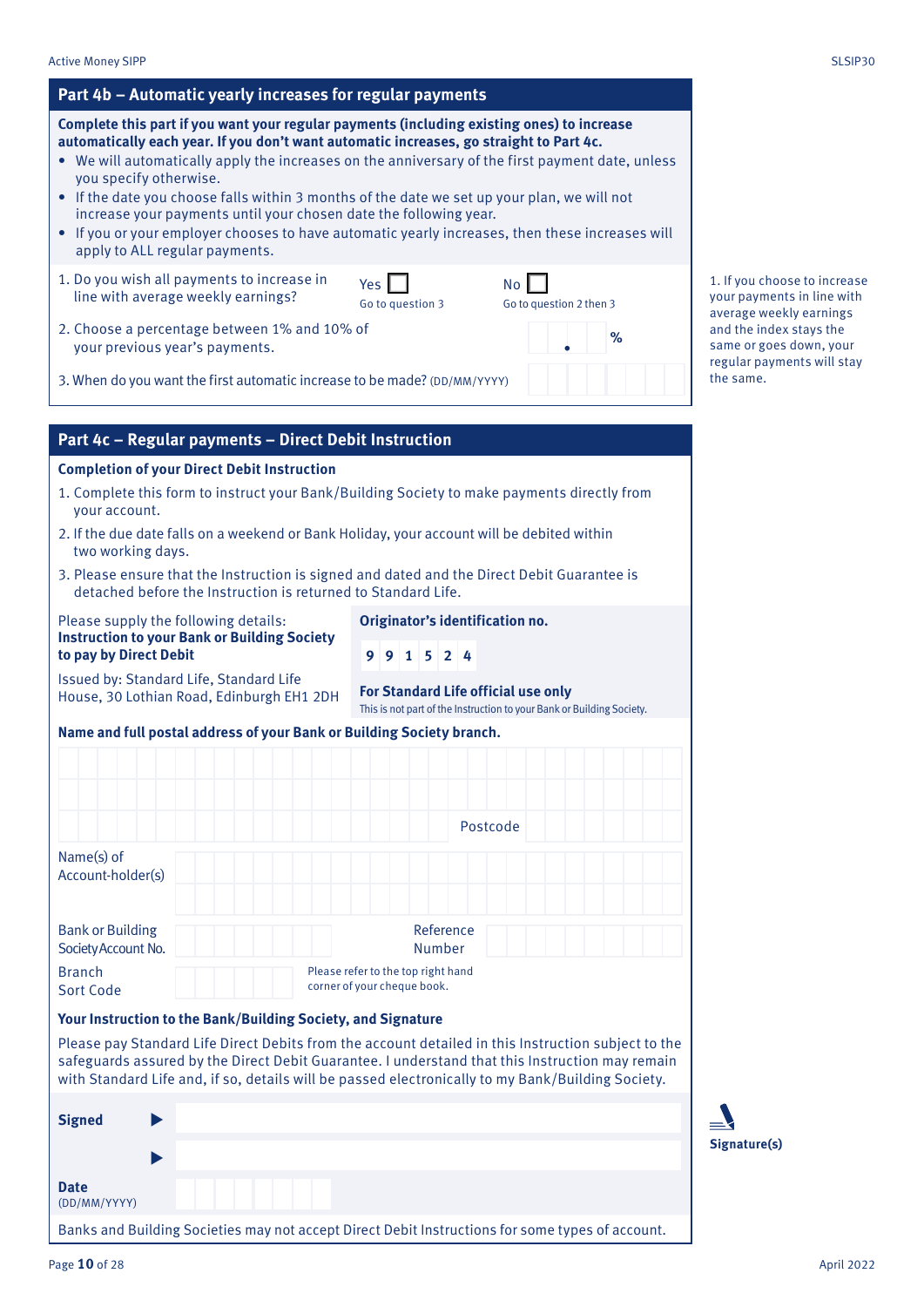| Complete this part if you want your regular payments (including existing ones) to increase<br>automatically each year. If you don't want automatic increases, go straight to Part 4c.<br>• We will automatically apply the increases on the anniversary of the first payment date, unless<br>you specify otherwise.<br>• If the date you choose falls within 3 months of the date we set up your plan, we will not<br>increase your payments until your chosen date the following year.<br>• If you or your employer chooses to have automatic yearly increases, then these increases will<br>apply to ALL regular payments. |  |                                                                                                              |                                      |      |                                            |
|------------------------------------------------------------------------------------------------------------------------------------------------------------------------------------------------------------------------------------------------------------------------------------------------------------------------------------------------------------------------------------------------------------------------------------------------------------------------------------------------------------------------------------------------------------------------------------------------------------------------------|--|--------------------------------------------------------------------------------------------------------------|--------------------------------------|------|--------------------------------------------|
| 1. Do you wish all payments to increase in<br>line with average weekly earnings?                                                                                                                                                                                                                                                                                                                                                                                                                                                                                                                                             |  | Yes  <br>Go to question 3                                                                                    | <b>No</b><br>Go to question 2 then 3 |      | 1. If you cho<br>your payme                |
| 2. Choose a percentage between 1% and 10% of<br>your previous year's payments.                                                                                                                                                                                                                                                                                                                                                                                                                                                                                                                                               |  |                                                                                                              |                                      | $\%$ | average wee<br>and the inde<br>same or goe |
| 3. When do you want the first automatic increase to be made? (DD/MM/YYYY)                                                                                                                                                                                                                                                                                                                                                                                                                                                                                                                                                    |  |                                                                                                              |                                      |      | regular payr<br>the same.                  |
| Part 4c - Regular payments - Direct Debit Instruction                                                                                                                                                                                                                                                                                                                                                                                                                                                                                                                                                                        |  |                                                                                                              |                                      |      |                                            |
| <b>Completion of your Direct Debit Instruction</b>                                                                                                                                                                                                                                                                                                                                                                                                                                                                                                                                                                           |  |                                                                                                              |                                      |      |                                            |
| 1. Complete this form to instruct your Bank/Building Society to make payments directly from<br>your account.                                                                                                                                                                                                                                                                                                                                                                                                                                                                                                                 |  |                                                                                                              |                                      |      |                                            |
| 2. If the due date falls on a weekend or Bank Holiday, your account will be debited within<br>two working days.                                                                                                                                                                                                                                                                                                                                                                                                                                                                                                              |  |                                                                                                              |                                      |      |                                            |
| 3. Please ensure that the Instruction is signed and dated and the Direct Debit Guarantee is<br>detached before the Instruction is returned to Standard Life.                                                                                                                                                                                                                                                                                                                                                                                                                                                                 |  |                                                                                                              |                                      |      |                                            |
| Please supply the following details:<br><b>Instruction to your Bank or Building Society</b><br>to pay by Direct Debit                                                                                                                                                                                                                                                                                                                                                                                                                                                                                                        |  | Originator's identification no.<br>$9$ 9 1 5 2 4                                                             |                                      |      |                                            |
| Issued by: Standard Life, Standard Life<br>House, 30 Lothian Road, Edinburgh EH1 2DH                                                                                                                                                                                                                                                                                                                                                                                                                                                                                                                                         |  | For Standard Life official use only<br>This is not part of the Instruction to your Bank or Building Society. |                                      |      |                                            |
| Name and full postal address of your Bank or Building Society branch.                                                                                                                                                                                                                                                                                                                                                                                                                                                                                                                                                        |  |                                                                                                              |                                      |      |                                            |
|                                                                                                                                                                                                                                                                                                                                                                                                                                                                                                                                                                                                                              |  |                                                                                                              |                                      |      |                                            |
|                                                                                                                                                                                                                                                                                                                                                                                                                                                                                                                                                                                                                              |  |                                                                                                              | Postcode                             |      |                                            |
|                                                                                                                                                                                                                                                                                                                                                                                                                                                                                                                                                                                                                              |  |                                                                                                              |                                      |      |                                            |
| Name(s) of<br>Account-holder(s)                                                                                                                                                                                                                                                                                                                                                                                                                                                                                                                                                                                              |  |                                                                                                              |                                      |      |                                            |
| <b>Bank or Building</b><br>Society Account No.                                                                                                                                                                                                                                                                                                                                                                                                                                                                                                                                                                               |  | Reference<br><b>Number</b>                                                                                   |                                      |      |                                            |
| Please refer to the top right hand<br><b>Branch</b><br>corner of your cheque book.<br><b>Sort Code</b>                                                                                                                                                                                                                                                                                                                                                                                                                                                                                                                       |  |                                                                                                              |                                      |      |                                            |
| Your Instruction to the Bank/Building Society, and Signature                                                                                                                                                                                                                                                                                                                                                                                                                                                                                                                                                                 |  |                                                                                                              |                                      |      |                                            |
| Please pay Standard Life Direct Debits from the account detailed in this Instruction subject to the<br>safeguards assured by the Direct Debit Guarantee. I understand that this Instruction may remain<br>with Standard Life and, if so, details will be passed electronically to my Bank/Building Society.                                                                                                                                                                                                                                                                                                                  |  |                                                                                                              |                                      |      |                                            |
| <b>Signed</b>                                                                                                                                                                                                                                                                                                                                                                                                                                                                                                                                                                                                                |  |                                                                                                              |                                      |      |                                            |
|                                                                                                                                                                                                                                                                                                                                                                                                                                                                                                                                                                                                                              |  |                                                                                                              |                                      |      | <b>Signature(s)</b>                        |

**Complete this part if you want your regular payments (including existing ones) to increase** 

ose to increase nts in line with ekly earnings ex stays the es down<mark>,</mark> your ments will stay

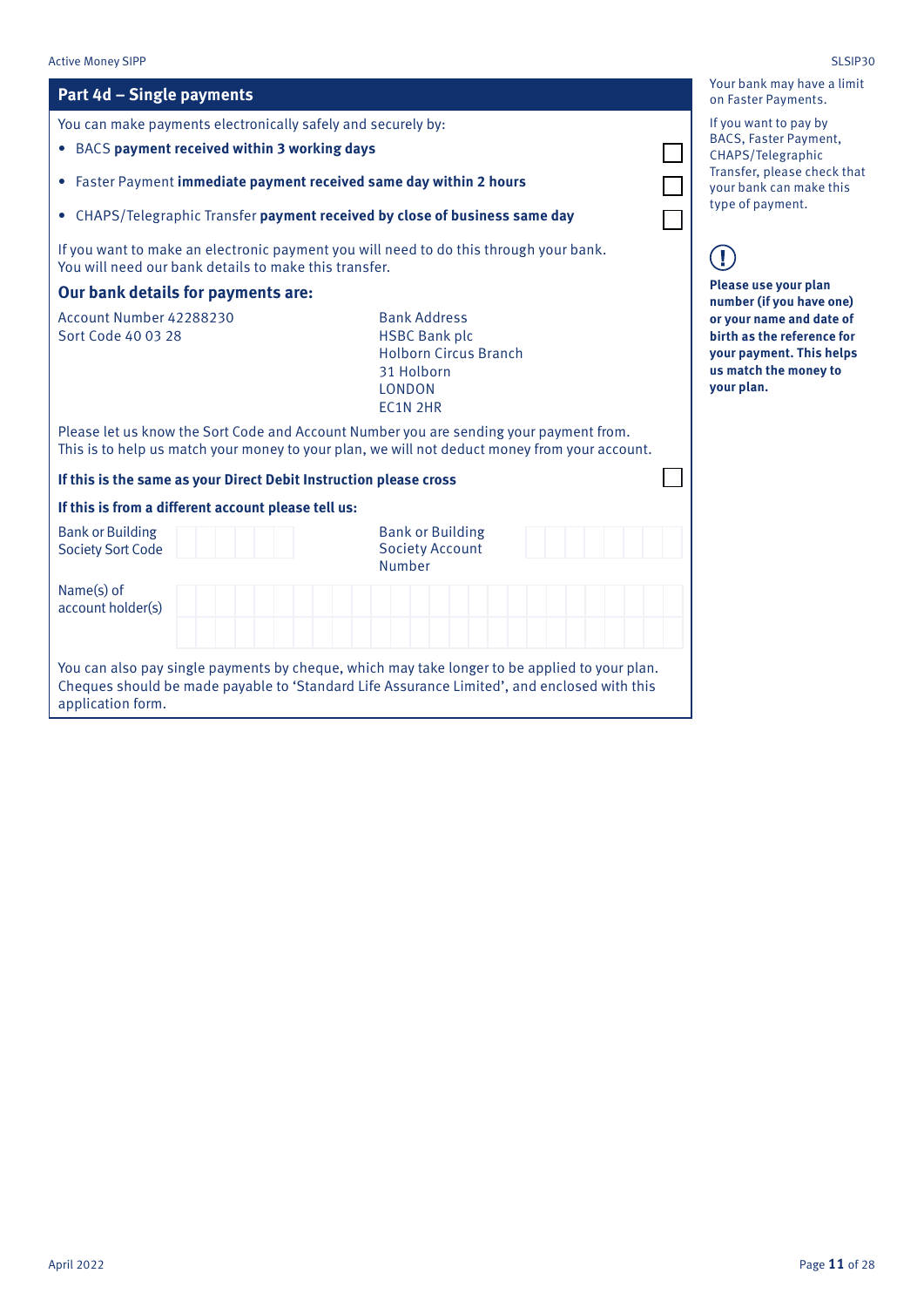#### Active Money SIPP SLSIP30 Your bank may have a limit **Part 4d – Single payments** on Faster Payments. If you want to pay by You can make payments electronically safely and securely by: BACS, Faster Payment, • BACS **payment received within 3 working days** CHAPS/Telegraphic Transfer, please check that • Faster Payment **immediate payment received same day within 2 hours** your bank can make this type of payment. • CHAPS/Telegraphic Transfer **payment received by close of business same day** If you want to make an electronic payment you will need to do this through your bank.  $(\mathbf{I})$ You will need our bank details to make this transfer. **Please use your plan Our bank details for payments are: number (if you have one)**  Account Number 42288230 Bank Address **or your name and date of**  Sort Code 40 03 28 HSBC Bank plc **birth as the reference for**  Holborn Circus Branch **your payment. This helps**  31 Holborn **us match the money to**  LONDON **your plan.**EC1N 2HR Please let us know the Sort Code and Account Number you are sending your payment from. This is to help us match your money to your plan, we will not deduct money from your account. **If this is the same as your Direct Debit Instruction please cross If this is from a different account please tell us:** Bank or Building Bank or Building Society Sort Code Society Account Number Name(s) of account holder(s) You can also pay single payments by cheque, which may take longer to be applied to your plan. Cheques should be made payable to 'Standard Life Assurance Limited', and enclosed with this application form.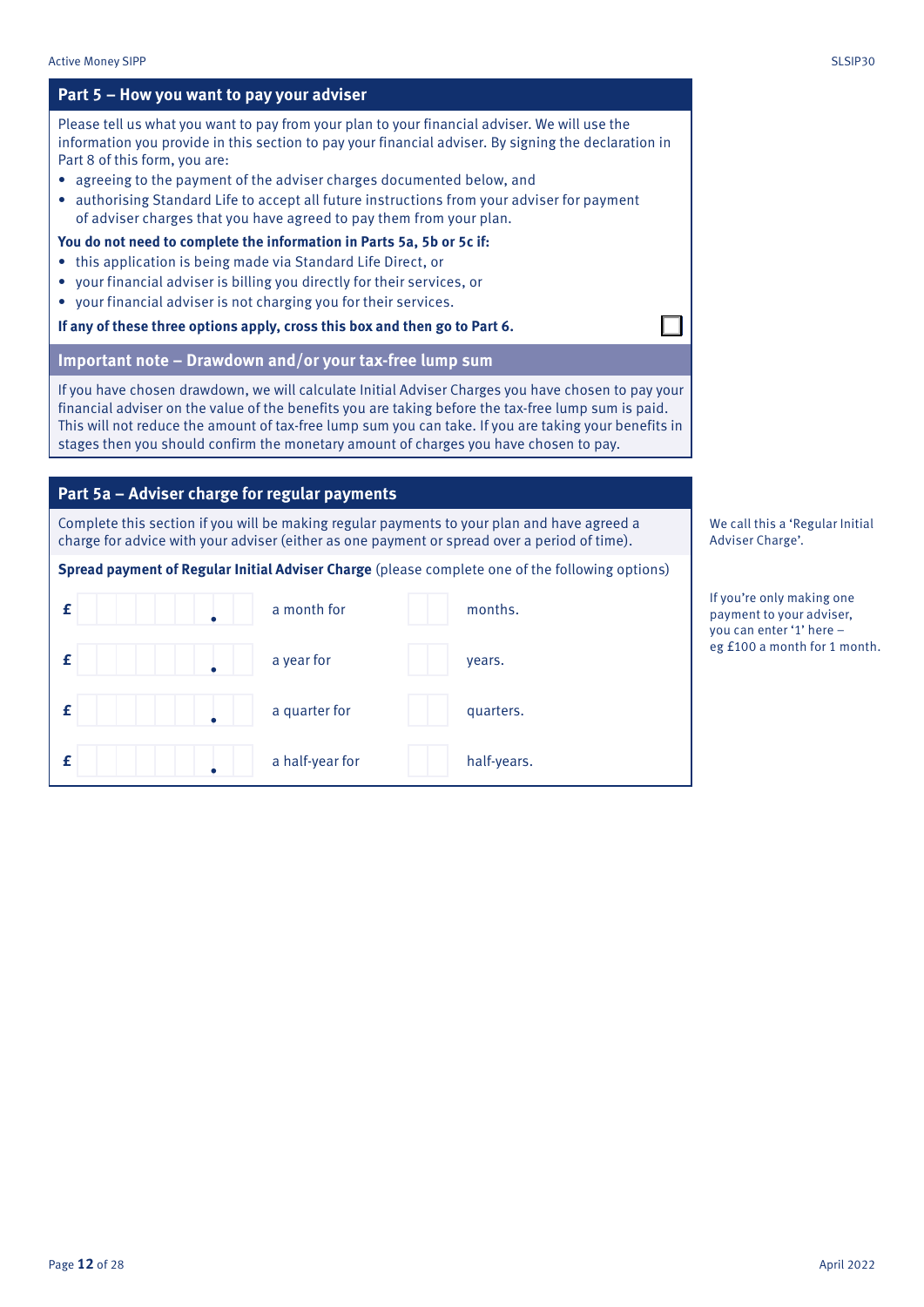### **Part 5 – How you want to pay your adviser** Please tell us what you want to pay from your plan to your financial adviser. We will use the information you provide in this section to pay your financial adviser. By signing the declaration in Part 8 of this form, you are: • agreeing to the payment of the adviser charges documented below, and • authorising Standard Life to accept all future instructions from your adviser for payment of adviser charges that you have agreed to pay them from your plan. **You do not need to complete the information in Parts 5a, 5b or 5c if:**  • this application is being made via Standard Life Direct, or • your financial adviser is billing you directly for their services, or • your financial adviser is not charging you for their services. **If any of these three options apply, cross this box and then go to Part 6. Important note – Drawdown and/or your tax-free lump sum** If you have chosen drawdown, we will calculate Initial Adviser Charges you have chosen to pay your financial adviser on the value of the benefits you are taking before the tax-free lump sum is paid. This will not reduce the amount of tax-free lump sum you can take. If you are taking your benefits in stages then you should confirm the monetary amount of charges you have chosen to pay. We call this a 'Regular Initial Adviser Charge'. If you're only making one payment to your adviser, you can enter '1' here – eg £100 a month for 1 month. **Part 5a – Adviser charge for regular payments** Complete this section if you will be making regular payments to your plan and have agreed a charge for advice with your adviser (either as one payment or spread over a period of time). **Spread payment of Regular Initial Adviser Charge** (please complete one of the following options) **£** a month for months. **£** a year for years. **£ d a** quarter for **a** quarter for **a** quarters.

**£** a half-year for half-years.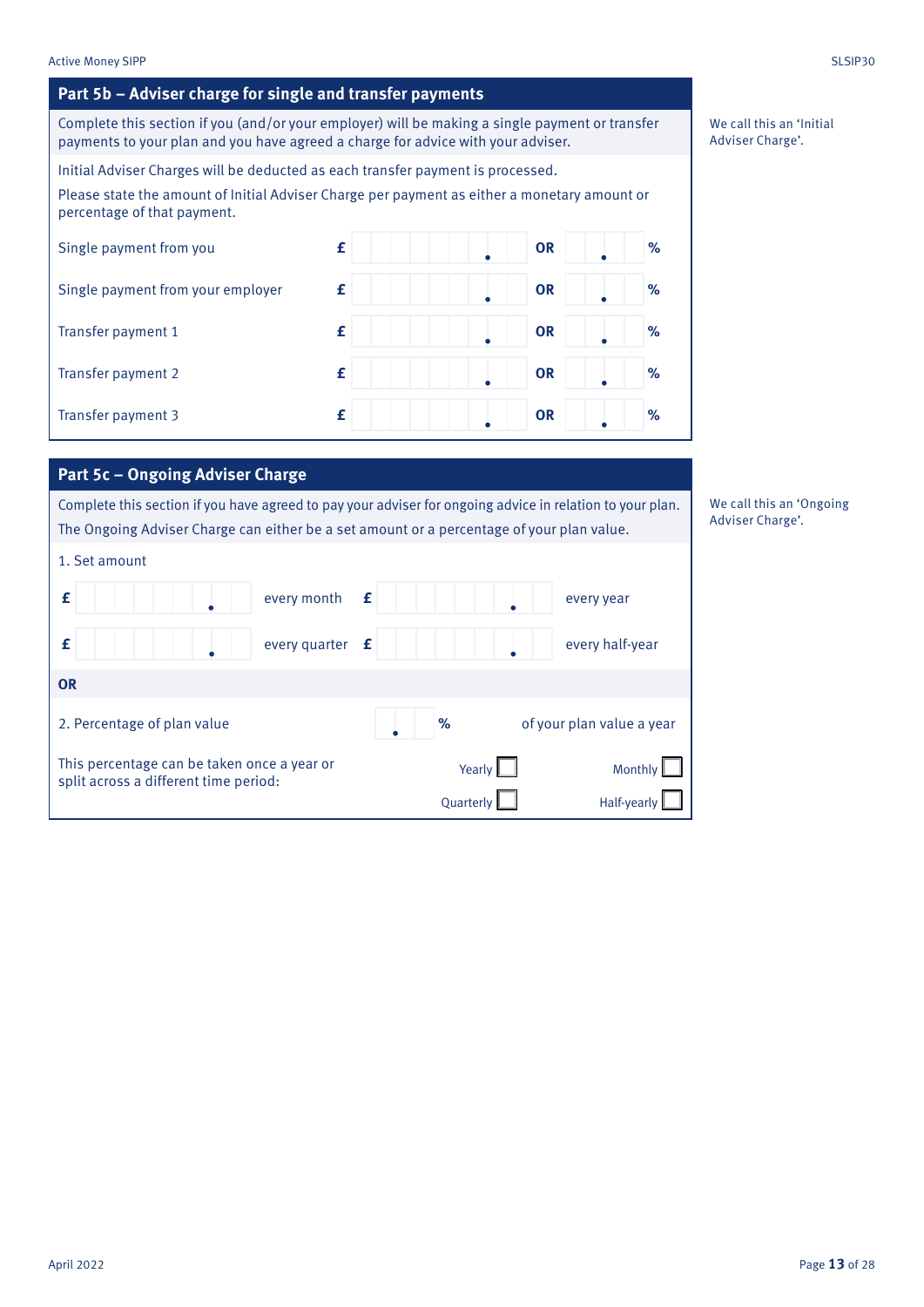### **Part 5b – Adviser charge for single and transfer payments**

Complete this section if you (and/or your employer) will be making a single payment or transfer payments to your plan and you have agreed a charge for advice with your adviser.

Initial Adviser Charges will be deducted as each transfer payment is processed.

Please state the amount of Initial Adviser Charge per payment as either a monetary amount or percentage of that payment.

| Single payment from you           | £ | <b>OR</b> | % |
|-----------------------------------|---|-----------|---|
| Single payment from your employer | £ | <b>OR</b> | % |
| Transfer payment 1                | £ | <b>OR</b> | % |
| Transfer payment 2                | £ | <b>OR</b> | % |
| Transfer payment 3                | £ | <b>OR</b> | % |

### **Part 5c – Ongoing Adviser Charge**

Complete this section if you have agreed to pay your adviser for ongoing advice in relation to your plan. The Ongoing Adviser Charge can either be a set amount or a percentage of your plan value.

| 1. Set amount                                                                        |                   |             |               |                           |
|--------------------------------------------------------------------------------------|-------------------|-------------|---------------|---------------------------|
| f                                                                                    | every month       | $\mathbf f$ |               | every year                |
| £                                                                                    | every quarter $f$ |             |               | every half-year           |
| <b>OR</b>                                                                            |                   |             |               |                           |
| 2. Percentage of plan value                                                          |                   |             | %             | of your plan value a year |
| This percentage can be taken once a year or<br>split across a different time period: |                   |             | Yearly $\Box$ | Monthly                   |
|                                                                                      |                   |             | Quarterly     | Half-yearly               |

We call this an 'Initial Adviser Charge'.

We call this an 'Ongoing Adviser Charge'.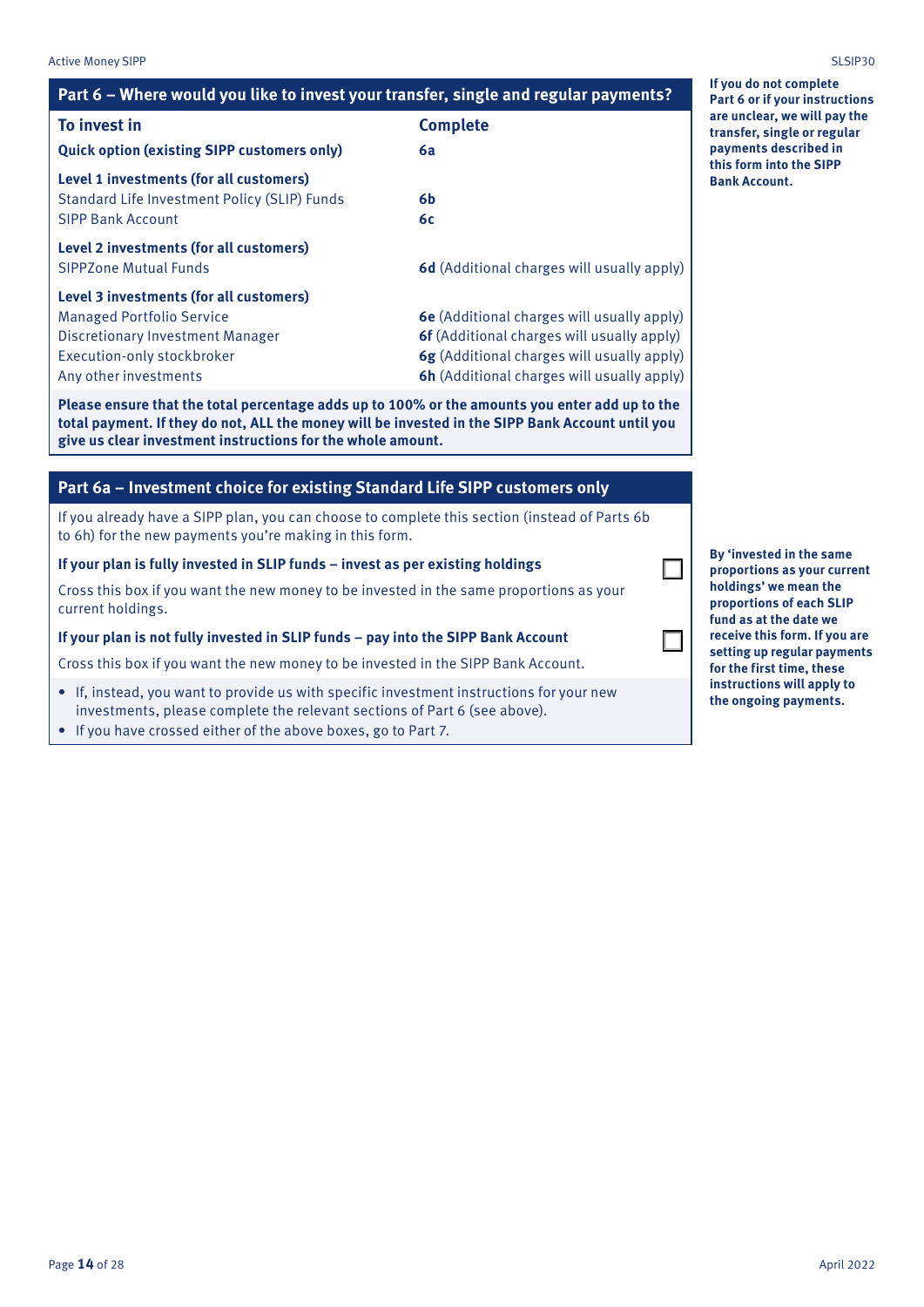| <b>Active Money SIPP</b>                                                            |                                                   | SLSIP30                                                     |
|-------------------------------------------------------------------------------------|---------------------------------------------------|-------------------------------------------------------------|
| Part 6 – Where would you like to invest your transfer, single and regular payments? |                                                   | If you do not complete<br>Part 6 or if your instructions    |
| To invest in                                                                        | <b>Complete</b>                                   | are unclear, we will pay the<br>transfer, single or regular |
| <b>Quick option (existing SIPP customers only)</b>                                  | 6a                                                | payments described in                                       |
| Level 1 investments (for all customers)                                             |                                                   | this form into the SIPP<br><b>Bank Account.</b>             |
| Standard Life Investment Policy (SLIP) Funds                                        | 6b                                                |                                                             |
| <b>SIPP Bank Account</b>                                                            | 6c                                                |                                                             |
| Level 2 investments (for all customers)                                             |                                                   |                                                             |
| <b>SIPPZone Mutual Funds</b>                                                        | 6d (Additional charges will usually apply)        |                                                             |
| Level 3 investments (for all customers)                                             |                                                   |                                                             |
| <b>Managed Portfolio Service</b>                                                    | 6e (Additional charges will usually apply)        |                                                             |
| <b>Discretionary Investment Manager</b>                                             | <b>6f</b> (Additional charges will usually apply) |                                                             |
| Execution-only stockbroker                                                          | 6g (Additional charges will usually apply)        |                                                             |
| Any other investments                                                               | <b>6h</b> (Additional charges will usually apply) |                                                             |

**Please ensure that the total percentage adds up to 100% or the amounts you enter add up to the total payment. If they do not, ALL the money will be invested in the SIPP Bank Account until you give us clear investment instructions for the whole amount.**

### **Part 6a – Investment choice for existing Standard Life SIPP customers only**

If you already have a SIPP plan, you can choose to complete this section (instead of Parts 6b to 6h) for the new payments you're making in this form.

**If your plan is fully invested in SLIP funds – invest as per existing holdings**

Cross this box if you want the new money to be invested in the same proportions as your current holdings.

### **If your plan is not fully invested in SLIP funds – pay into the SIPP Bank Account**

Cross this box if you want the new money to be invested in the SIPP Bank Account.

- If, instead, you want to provide us with specific investment instructions for your new investments, please complete the relevant sections of Part 6 (see above).
- If you have crossed either of the above boxes, go to Part 7.

**By 'invested in the same proportions as your current holdings' we mean the proportions of each SLIP fund as at the date we receive this form. If you are setting up regular payments for the first time, these instructions will apply to the ongoing payments.**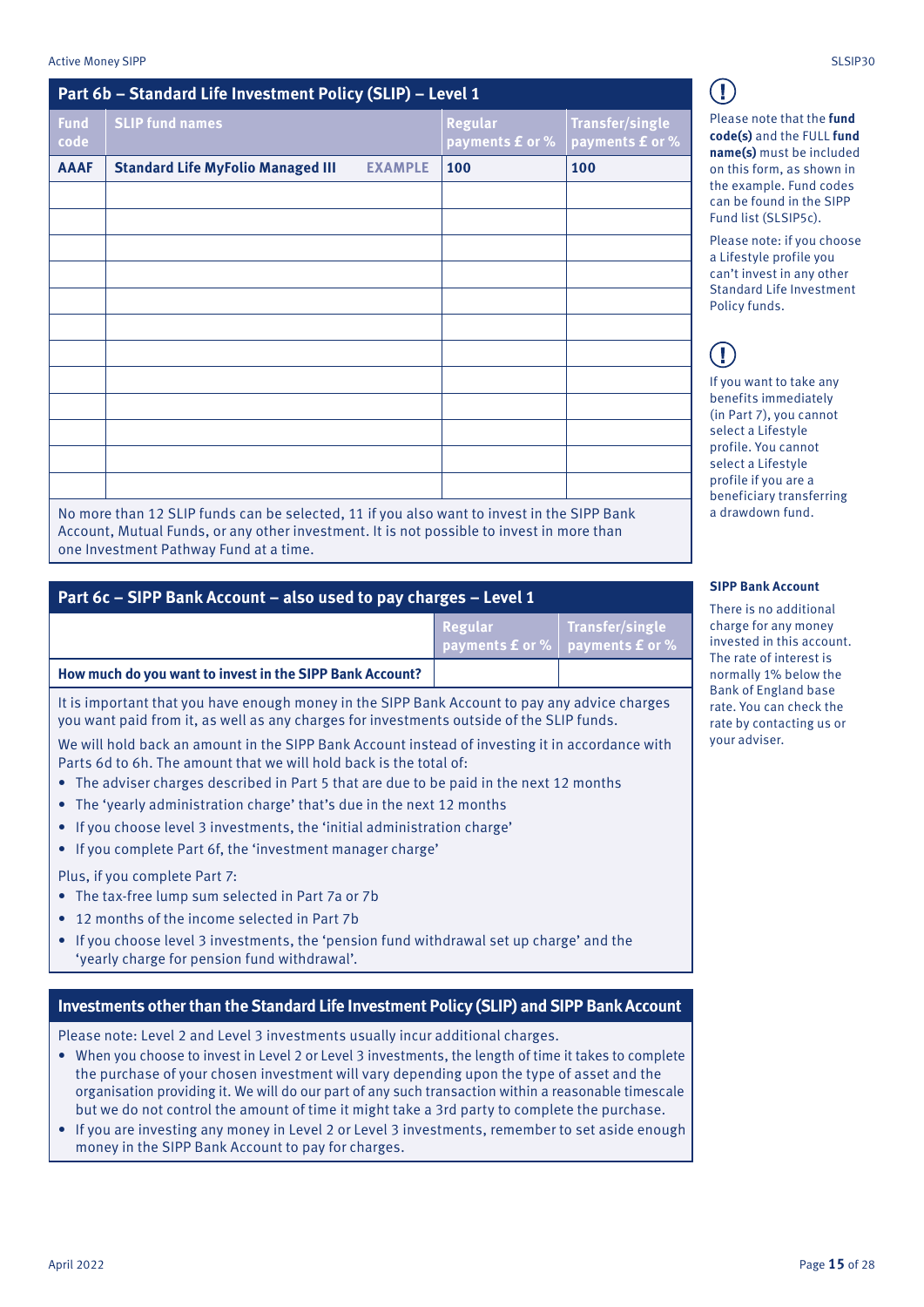| Part 6b - Standard Life Investment Policy (SLIP) - Level 1 |                                                                                            |                |                                   |                                    |
|------------------------------------------------------------|--------------------------------------------------------------------------------------------|----------------|-----------------------------------|------------------------------------|
| <b>Fund</b><br>code                                        | <b>SLIP fund names</b>                                                                     |                | <b>Regular</b><br>payments £ or % | Transfer/single<br>payments £ or % |
| <b>AAAF</b>                                                | <b>Standard Life MyFolio Managed III</b>                                                   | <b>EXAMPLE</b> | 100                               | 100                                |
|                                                            |                                                                                            |                |                                   |                                    |
|                                                            |                                                                                            |                |                                   |                                    |
|                                                            |                                                                                            |                |                                   |                                    |
|                                                            |                                                                                            |                |                                   |                                    |
|                                                            |                                                                                            |                |                                   |                                    |
|                                                            |                                                                                            |                |                                   |                                    |
|                                                            |                                                                                            |                |                                   |                                    |
|                                                            |                                                                                            |                |                                   |                                    |
|                                                            |                                                                                            |                |                                   |                                    |
|                                                            |                                                                                            |                |                                   |                                    |
|                                                            |                                                                                            |                |                                   |                                    |
|                                                            |                                                                                            |                |                                   |                                    |
|                                                            | No more than 12 CLID funds can be selected. 11 if you also want to invest in the CIDD Dank |                |                                   |                                    |

No more than 12 SLIP funds can be selected, 11 if you also want to invest in the SIPP Bank Account, Mutual Funds, or any other investment. It is not possible to invest in more than one Investment Pathway Fund at a time.

| Part 6c - SIPP Bank Account - also used to pay charges - Level 1 |
|------------------------------------------------------------------|
|------------------------------------------------------------------|

|                                                          | Regular | Transfer/single<br><b>payments £ or %</b> payments £ or % |
|----------------------------------------------------------|---------|-----------------------------------------------------------|
| How much do you want to invest in the SIPP Bank Account? |         |                                                           |

It is important that you have enough money in the SIPP Bank Account to pay any advice charges you want paid from it, as well as any charges for investments outside of the SLIP funds.

We will hold back an amount in the SIPP Bank Account instead of investing it in accordance with Parts 6d to 6h. The amount that we will hold back is the total of:

- The adviser charges described in Part 5 that are due to be paid in the next 12 months
- The 'yearly administration charge' that's due in the next 12 months
- If you choose level 3 investments, the 'initial administration charge'
- If you complete Part 6f, the 'investment manager charge'

Plus, if you complete Part 7:

- The tax-free lump sum selected in Part 7a or 7b
- 12 months of the income selected in Part 7b
- If you choose level 3 investments, the 'pension fund withdrawal set up charge' and the 'yearly charge for pension fund withdrawal'.

### **Investments other than the Standard Life Investment Policy (SLIP) and SIPP Bank Account**

Please note: Level 2 and Level 3 investments usually incur additional charges.

- When you choose to invest in Level 2 or Level 3 investments, the length of time it takes to complete the purchase of your chosen investment will vary depending upon the type of asset and the organisation providing it. We will do our part of any such transaction within a reasonable timescale but we do not control the amount of time it might take a 3rd party to complete the purchase.
- If you are investing any money in Level 2 or Level 3 investments, remember to set aside enough money in the SIPP Bank Account to pay for charges.

Please note that the **fund code(s)** and the FULL **fund name(s)** must be included on this form, as shown in the example. Fund codes can be found in the SIPP Fund list (SLSIP5c).

Please note: if you choose a Lifestyle profile you can't invest in any other Standard Life Investment Policy funds.

# Τ

If you want to take any benefits immediately (in Part 7), you cannot select a Lifestyle profile. You cannot select a Lifestyle profile if you are a beneficiary transferring a drawdown fund.

### **SIPP Bank Account**

There is no additional charge for any money invested in this account. The rate of interest is normally 1% below the Bank of England base rate. You can check the rate by contacting us or your adviser.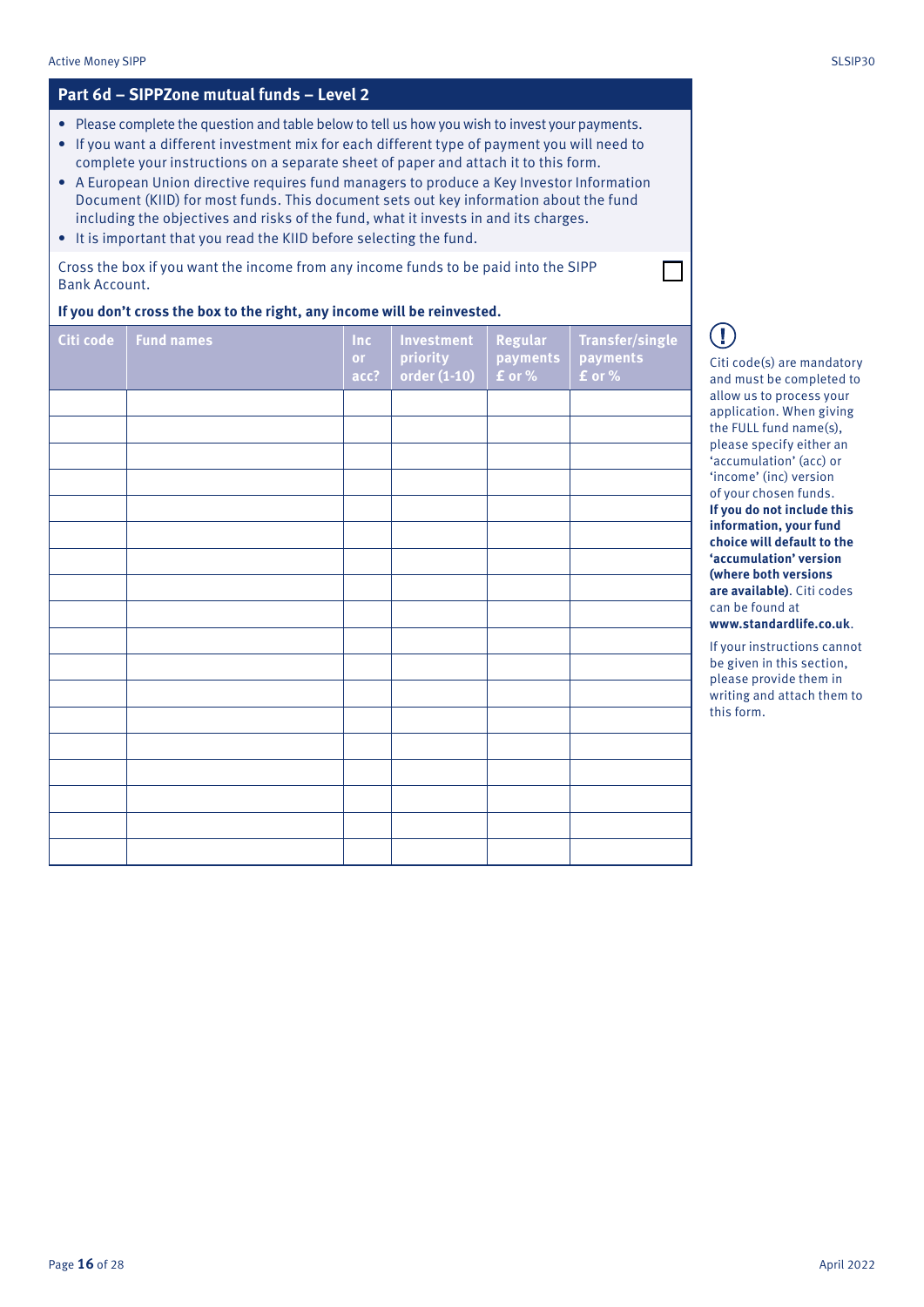### **Part 6d – SIPPZone mutual funds – Level 2**

- Please complete the question and table below to tell us how you wish to invest your payments.
- If you want a different investment mix for each different type of payment you will need to complete your instructions on a separate sheet of paper and attach it to this form.
- A European Union directive requires fund managers to produce a Key Investor Information Document (KIID) for most funds. This document sets out key information about the fund including the objectives and risks of the fund, what it invests in and its charges.
- It is important that you read the KIID before selecting the fund.

Cross the box if you want the income from any income funds to be paid into the SIPP Bank Account.

### **If you don't cross the box to the right, any income will be reinvested.**

| Citi code | <b>Fund names</b> | Inc<br>or.<br>acc? | Investment<br>priority<br>order (1-10) | Regular<br>payments<br>$f$ or % | <b>Transfer/single</b><br>payments<br><b>f</b> or % |
|-----------|-------------------|--------------------|----------------------------------------|---------------------------------|-----------------------------------------------------|
|           |                   |                    |                                        |                                 |                                                     |
|           |                   |                    |                                        |                                 |                                                     |
|           |                   |                    |                                        |                                 |                                                     |
|           |                   |                    |                                        |                                 |                                                     |
|           |                   |                    |                                        |                                 |                                                     |
|           |                   |                    |                                        |                                 |                                                     |
|           |                   |                    |                                        |                                 |                                                     |
|           |                   |                    |                                        |                                 |                                                     |
|           |                   |                    |                                        |                                 |                                                     |
|           |                   |                    |                                        |                                 |                                                     |
|           |                   |                    |                                        |                                 |                                                     |
|           |                   |                    |                                        |                                 |                                                     |
|           |                   |                    |                                        |                                 |                                                     |
|           |                   |                    |                                        |                                 |                                                     |
|           |                   |                    |                                        |                                 |                                                     |
|           |                   |                    |                                        |                                 |                                                     |
|           |                   |                    |                                        |                                 |                                                     |
|           |                   |                    |                                        |                                 |                                                     |

Citi code(s) are mandatory and must be completed to allow us to process your application. When giving the FULL fund name(s), please specify either an 'accumulation' (acc) or 'income' (inc) version of your chosen funds. **If you do not include this information, your fund choice will default to the 'accumulation' version (where both versions are available)**. Citi codes can be found at **www.standardlife.co.uk**.

Ţ

If your instructions cannot be given in this section, please provide them in writing and attach them to this form.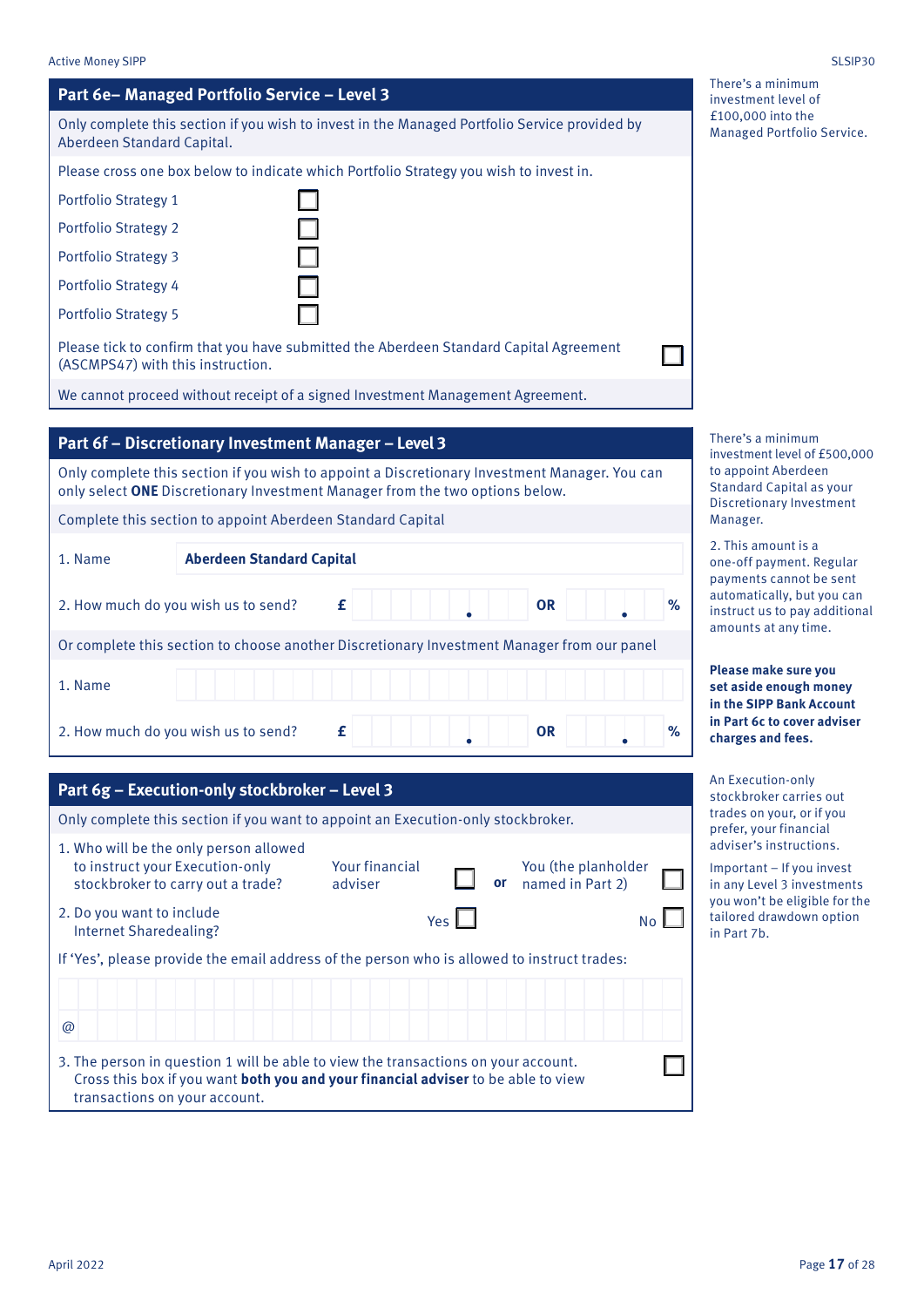There's a minimum investment level of £100,000 into the Managed Portfolio Service.

There's a minimum investment level of £500,000 to appoint Aberdeen Standard Capital as your Discretionary Investment Manager.

2. This amount is a one-off payment. Regular payments cannot be sent automatically, but you can instruct us to pay additional amounts at any time.

**Please make sure you set aside enough money in the SIPP Bank Account in Part 6c to cover adviser charges and fees.**

An Execution-only stockbroker carries out trades on your, or if you prefer, your financial adviser's instructions.

Important – If you invest in any Level 3 investments you won't be eligible for the tailored drawdown option in Part 7b.

### Active Money SIPP SLSIP30

| Part 6e-Managed Portfolio Service - Level 3                                                                                                                                                              |
|----------------------------------------------------------------------------------------------------------------------------------------------------------------------------------------------------------|
| Only complete this section if you wish to invest in the Managed Portfolio Service provided by<br>Aberdeen Standard Capital.                                                                              |
| Please cross one box below to indicate which Portfolio Strategy you wish to invest in.                                                                                                                   |
| <b>Portfolio Strategy 1</b>                                                                                                                                                                              |
| <b>Portfolio Strategy 2</b>                                                                                                                                                                              |
| <b>Portfolio Strategy 3</b>                                                                                                                                                                              |
| Portfolio Strategy 4                                                                                                                                                                                     |
| <b>Portfolio Strategy 5</b>                                                                                                                                                                              |
| Please tick to confirm that you have submitted the Aberdeen Standard Capital Agreement<br>(ASCMPS47) with this instruction.                                                                              |
| We cannot proceed without receipt of a signed Investment Management Agreement.                                                                                                                           |
|                                                                                                                                                                                                          |
| Part 6f - Discretionary Investment Manager - Level 3                                                                                                                                                     |
| Only complete this section if you wish to appoint a Discretionary Investment Manager. You can<br>only select ONE Discretionary Investment Manager from the two options below.                            |
| Complete this section to appoint Aberdeen Standard Capital                                                                                                                                               |
| <b>Aberdeen Standard Capital</b><br>1. Name                                                                                                                                                              |
| %<br>2. How much do you wish us to send?<br>£<br><b>OR</b>                                                                                                                                               |
| Or complete this section to choose another Discretionary Investment Manager from our panel                                                                                                               |
| 1. Name                                                                                                                                                                                                  |
| %<br>2. How much do you wish us to send?<br><b>OR</b><br>£                                                                                                                                               |
| Part 6g - Execution-only stockbroker - Level 3                                                                                                                                                           |
| Only complete this section if you want to appoint an Execution-only stockbroker.                                                                                                                         |
| 1. Who will be the only person allowed<br>Your financial<br>to instruct your Execution-only<br>You (the planholder<br>or<br>named in Part 2)<br>stockbroker to carry out a trade?<br>adviser             |
| 2. Do you want to include<br>Yes<br><b>No</b><br><b>Internet Sharedealing?</b>                                                                                                                           |
| If 'Yes', please provide the email address of the person who is allowed to instruct trades:                                                                                                              |
|                                                                                                                                                                                                          |
| @                                                                                                                                                                                                        |
| 3. The person in question 1 will be able to view the transactions on your account.<br>Cross this box if you want both you and your financial adviser to be able to view<br>transactions on your account. |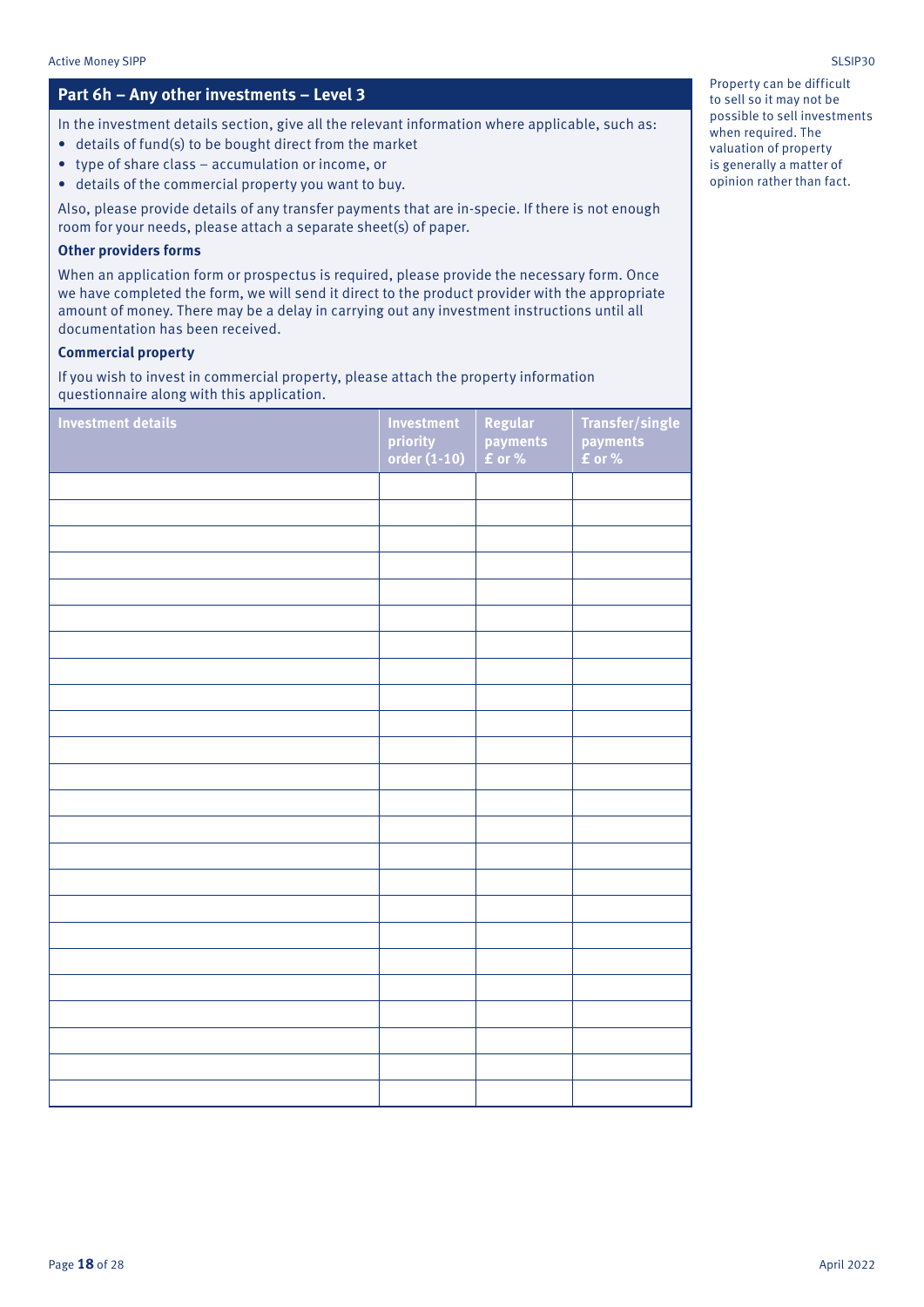### **Part 6h – Any other investments – Level 3**

In the investment details section, give all the relevant information where applicable, such as:

- details of fund(s) to be bought direct from the market
- type of share class accumulation or income, or
- details of the commercial property you want to buy.

Also, please provide details of any transfer payments that are in-specie. If there is not enough room for your needs, please attach a separate sheet(s) of paper.

### **Other providers forms**

When an application form or prospectus is required, please provide the necessary form. Once we have completed the form, we will send it direct to the product provider with the appropriate amount of money. There may be a delay in carrying out any investment instructions until all documentation has been received.

### **Commercial property**

If you wish to invest in commercial property, please attach the property information questionnaire along with this application.

| <b>Investment details</b> | <b>Investment</b><br>priority<br>order $(1-10)$ | Regular<br>payments<br><b>f</b> or % | Transfer/single<br>payments<br>£ or % |
|---------------------------|-------------------------------------------------|--------------------------------------|---------------------------------------|
|                           |                                                 |                                      |                                       |
|                           |                                                 |                                      |                                       |
|                           |                                                 |                                      |                                       |
|                           |                                                 |                                      |                                       |
|                           |                                                 |                                      |                                       |
|                           |                                                 |                                      |                                       |
|                           |                                                 |                                      |                                       |
|                           |                                                 |                                      |                                       |
|                           |                                                 |                                      |                                       |
|                           |                                                 |                                      |                                       |
|                           |                                                 |                                      |                                       |
|                           |                                                 |                                      |                                       |
|                           |                                                 |                                      |                                       |
|                           |                                                 |                                      |                                       |
|                           |                                                 |                                      |                                       |
|                           |                                                 |                                      |                                       |
|                           |                                                 |                                      |                                       |
|                           |                                                 |                                      |                                       |
|                           |                                                 |                                      |                                       |
|                           |                                                 |                                      |                                       |
|                           |                                                 |                                      |                                       |
|                           |                                                 |                                      |                                       |
|                           |                                                 |                                      |                                       |
|                           |                                                 |                                      |                                       |

Property can be difficult to sell so it may not be possible to sell investments when required. The valuation of property is generally a matter of opinion rather than fact.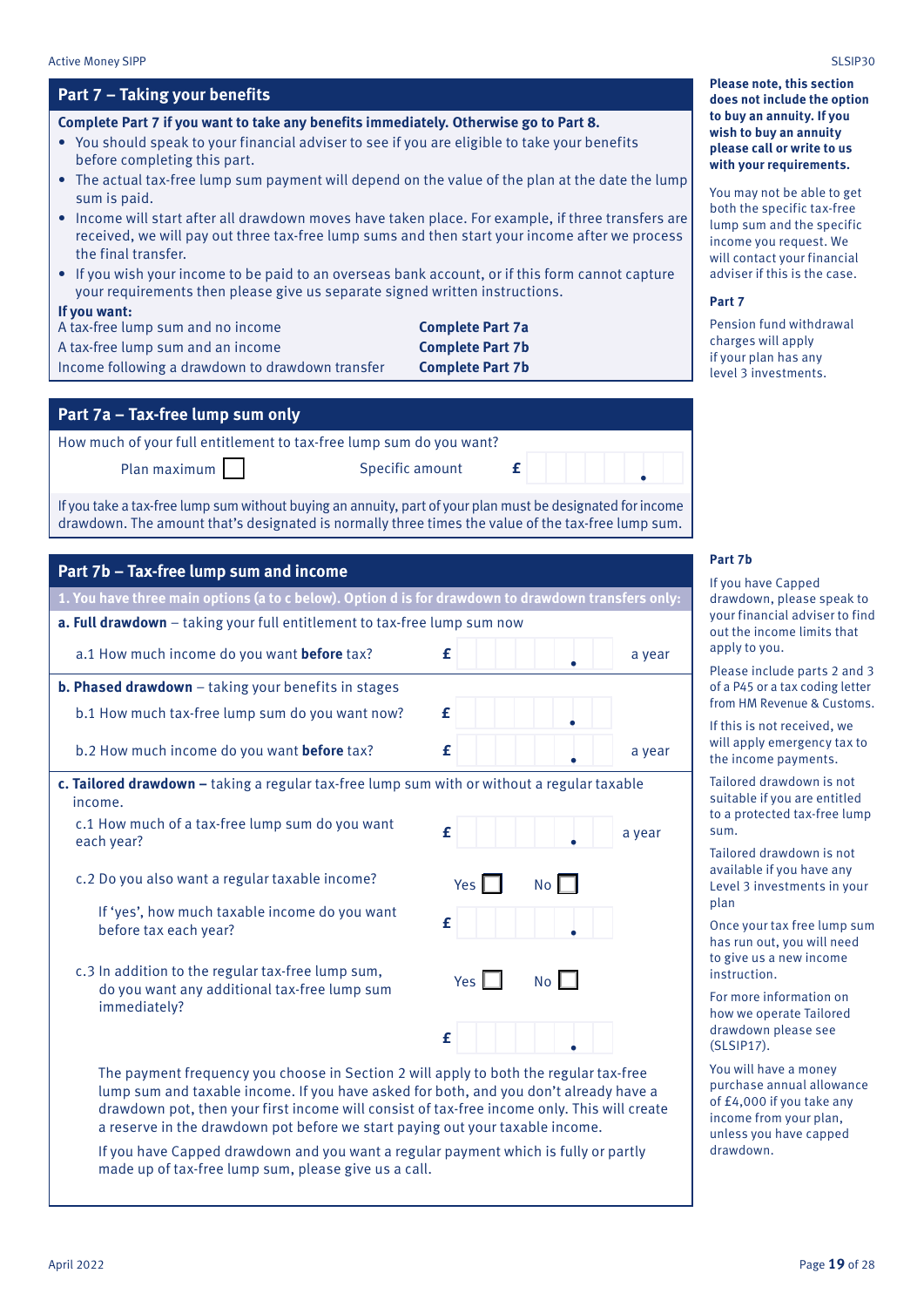| Specific amount |                                                                                                                             |                                                                                                                                                                                                                                                                                                                                                                                                                                                                                                                                                                                                                                                                                                                                                                                                                                                                                                                                                                                                                                                                                                                                                                                                                                                                                                                                                                                                                                                                                                                                                                                                                                                                                                                                          |
|-----------------|-----------------------------------------------------------------------------------------------------------------------------|------------------------------------------------------------------------------------------------------------------------------------------------------------------------------------------------------------------------------------------------------------------------------------------------------------------------------------------------------------------------------------------------------------------------------------------------------------------------------------------------------------------------------------------------------------------------------------------------------------------------------------------------------------------------------------------------------------------------------------------------------------------------------------------------------------------------------------------------------------------------------------------------------------------------------------------------------------------------------------------------------------------------------------------------------------------------------------------------------------------------------------------------------------------------------------------------------------------------------------------------------------------------------------------------------------------------------------------------------------------------------------------------------------------------------------------------------------------------------------------------------------------------------------------------------------------------------------------------------------------------------------------------------------------------------------------------------------------------------------------|
|                 |                                                                                                                             |                                                                                                                                                                                                                                                                                                                                                                                                                                                                                                                                                                                                                                                                                                                                                                                                                                                                                                                                                                                                                                                                                                                                                                                                                                                                                                                                                                                                                                                                                                                                                                                                                                                                                                                                          |
|                 |                                                                                                                             |                                                                                                                                                                                                                                                                                                                                                                                                                                                                                                                                                                                                                                                                                                                                                                                                                                                                                                                                                                                                                                                                                                                                                                                                                                                                                                                                                                                                                                                                                                                                                                                                                                                                                                                                          |
|                 |                                                                                                                             |                                                                                                                                                                                                                                                                                                                                                                                                                                                                                                                                                                                                                                                                                                                                                                                                                                                                                                                                                                                                                                                                                                                                                                                                                                                                                                                                                                                                                                                                                                                                                                                                                                                                                                                                          |
| £               |                                                                                                                             | a year                                                                                                                                                                                                                                                                                                                                                                                                                                                                                                                                                                                                                                                                                                                                                                                                                                                                                                                                                                                                                                                                                                                                                                                                                                                                                                                                                                                                                                                                                                                                                                                                                                                                                                                                   |
|                 |                                                                                                                             |                                                                                                                                                                                                                                                                                                                                                                                                                                                                                                                                                                                                                                                                                                                                                                                                                                                                                                                                                                                                                                                                                                                                                                                                                                                                                                                                                                                                                                                                                                                                                                                                                                                                                                                                          |
| £               |                                                                                                                             |                                                                                                                                                                                                                                                                                                                                                                                                                                                                                                                                                                                                                                                                                                                                                                                                                                                                                                                                                                                                                                                                                                                                                                                                                                                                                                                                                                                                                                                                                                                                                                                                                                                                                                                                          |
| £               |                                                                                                                             | a year                                                                                                                                                                                                                                                                                                                                                                                                                                                                                                                                                                                                                                                                                                                                                                                                                                                                                                                                                                                                                                                                                                                                                                                                                                                                                                                                                                                                                                                                                                                                                                                                                                                                                                                                   |
|                 |                                                                                                                             |                                                                                                                                                                                                                                                                                                                                                                                                                                                                                                                                                                                                                                                                                                                                                                                                                                                                                                                                                                                                                                                                                                                                                                                                                                                                                                                                                                                                                                                                                                                                                                                                                                                                                                                                          |
| £               |                                                                                                                             | a year                                                                                                                                                                                                                                                                                                                                                                                                                                                                                                                                                                                                                                                                                                                                                                                                                                                                                                                                                                                                                                                                                                                                                                                                                                                                                                                                                                                                                                                                                                                                                                                                                                                                                                                                   |
| Yes $\vert$     | No <sub>1</sub>                                                                                                             |                                                                                                                                                                                                                                                                                                                                                                                                                                                                                                                                                                                                                                                                                                                                                                                                                                                                                                                                                                                                                                                                                                                                                                                                                                                                                                                                                                                                                                                                                                                                                                                                                                                                                                                                          |
| £               |                                                                                                                             |                                                                                                                                                                                                                                                                                                                                                                                                                                                                                                                                                                                                                                                                                                                                                                                                                                                                                                                                                                                                                                                                                                                                                                                                                                                                                                                                                                                                                                                                                                                                                                                                                                                                                                                                          |
| $Yes$ $\Box$    | No                                                                                                                          |                                                                                                                                                                                                                                                                                                                                                                                                                                                                                                                                                                                                                                                                                                                                                                                                                                                                                                                                                                                                                                                                                                                                                                                                                                                                                                                                                                                                                                                                                                                                                                                                                                                                                                                                          |
| £               |                                                                                                                             |                                                                                                                                                                                                                                                                                                                                                                                                                                                                                                                                                                                                                                                                                                                                                                                                                                                                                                                                                                                                                                                                                                                                                                                                                                                                                                                                                                                                                                                                                                                                                                                                                                                                                                                                          |
|                 |                                                                                                                             |                                                                                                                                                                                                                                                                                                                                                                                                                                                                                                                                                                                                                                                                                                                                                                                                                                                                                                                                                                                                                                                                                                                                                                                                                                                                                                                                                                                                                                                                                                                                                                                                                                                                                                                                          |
|                 | How much of your full entitlement to tax-free lump sum do you want?<br>made up of tax-free lump sum, please give us a call. | Complete Part 7 if you want to take any benefits immediately. Otherwise go to Part 8.<br>• You should speak to your financial adviser to see if you are eligible to take your benefits<br>• The actual tax-free lump sum payment will depend on the value of the plan at the date the lump<br>• Income will start after all drawdown moves have taken place. For example, if three transfers are<br>received, we will pay out three tax-free lump sums and then start your income after we process<br>If you wish your income to be paid to an overseas bank account, or if this form cannot capture<br>your requirements then please give us separate signed written instructions.<br><b>Complete Part 7a</b><br><b>Complete Part 7b</b><br><b>Complete Part 7b</b><br>£<br>If you take a tax-free lump sum without buying an annuity, part of your plan must be designated for income<br>drawdown. The amount that's designated is normally three times the value of the tax-free lump sum.<br>1. You have three main options (a to c below). Option d is for drawdown to drawdown transfers only:<br>a. Full drawdown - taking your full entitlement to tax-free lump sum now<br>c. Tailored drawdown - taking a regular tax-free lump sum with or without a regular taxable<br>The payment frequency you choose in Section 2 will apply to both the regular tax-free<br>lump sum and taxable income. If you have asked for both, and you don't already have a<br>drawdown pot, then your first income will consist of tax-free income only. This will create<br>a reserve in the drawdown pot before we start paying out your taxable income.<br>If you have Capped drawdown and you want a regular payment which is fully or partly |

**Please note, this section does not include the option to buy an annuity. If you wish to buy an annuity please call or write to us with your requirements.**

ou may not be able to get oth the specific tax-free mp sum and the specific come you request. We ill contact your financial dviser if this is the case.

### **Part 7**

ension fund withdrawal arges will apply your plan has any vel 3 investments.

### **Part 7b**

you have Capped rawdown, please speak to ur financial adviser to find at the income limits that apply to you.

ease include parts 2 and 3  $\frac{1}{6}$  a P45 or a tax coding letter om HM Revenue & Customs.

this is not received, we ill apply emergency tax to e income payments.

ilored drawdown is not aitable if you are entitled a protected tax-free lump sum.

ilored drawdown is not vailable if you have any evel 3 investments in your an

nce your tax free lump sum has run out, you will need give us a new income struction.

or more information on ow we operate Tailored rawdown please see (SLSIP17).

ou will have a money purchase annual allowance  $E_4$ ,000 if you take any come from your plan, less you have capped rawdown.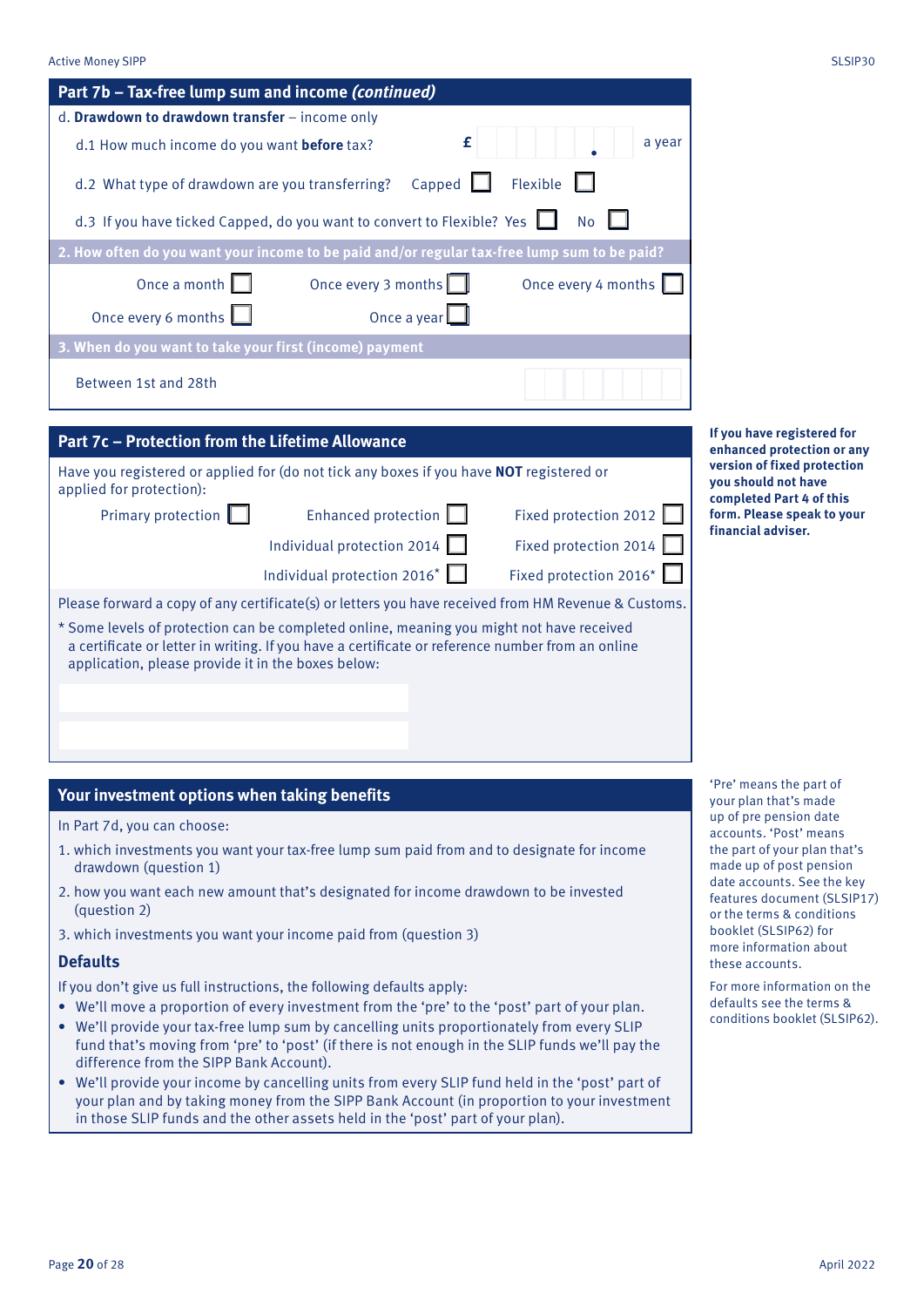| Part 7b - Tax-free lump sum and income (continued)                                                                                                                                                                                                 |                        |                                                                                                                |
|----------------------------------------------------------------------------------------------------------------------------------------------------------------------------------------------------------------------------------------------------|------------------------|----------------------------------------------------------------------------------------------------------------|
| d. Drawdown to drawdown transfer - income only                                                                                                                                                                                                     |                        |                                                                                                                |
| d.1 How much income do you want before tax?                                                                                                                                                                                                        | £<br>a year            |                                                                                                                |
| Capped  <br>d.2 What type of drawdown are you transferring?                                                                                                                                                                                        | Flexible               |                                                                                                                |
| d.3 If you have ticked Capped, do you want to convert to Flexible? Yes                                                                                                                                                                             | <b>No</b>              |                                                                                                                |
| 2. How often do you want your income to be paid and/or regular tax-free lump sum to be paid?                                                                                                                                                       |                        |                                                                                                                |
| Once a month<br>Once every 3 months                                                                                                                                                                                                                | Once every 4 months    |                                                                                                                |
| Once every 6 months<br>Once a year                                                                                                                                                                                                                 |                        |                                                                                                                |
| 3. When do you want to take your first (income) payment                                                                                                                                                                                            |                        |                                                                                                                |
| Between 1st and 28th                                                                                                                                                                                                                               |                        |                                                                                                                |
| Part 7c - Protection from the Lifetime Allowance<br>Have you registered or applied for (do not tick any boxes if you have NOT registered or                                                                                                        |                        | If you have registered for<br>enhanced protection or any<br>version of fixed protection<br>you should not have |
| applied for protection):                                                                                                                                                                                                                           | Fixed protection 2012  | completed Part 4 of this<br>form. Please speak to your                                                         |
| Primary protection $\Box$<br>Enhanced protection                                                                                                                                                                                                   |                        | financial adviser.                                                                                             |
| Individual protection 2014                                                                                                                                                                                                                         | Fixed protection 2014  |                                                                                                                |
| Individual protection 2016*                                                                                                                                                                                                                        | Fixed protection 2016* |                                                                                                                |
| Please forward a copy of any certificate(s) or letters you have received from HM Revenue & Customs.                                                                                                                                                |                        |                                                                                                                |
| * Some levels of protection can be completed online, meaning you might not have received<br>a certificate or letter in writing. If you have a certificate or reference number from an online<br>application, please provide it in the boxes below: |                        |                                                                                                                |
|                                                                                                                                                                                                                                                    |                        |                                                                                                                |
|                                                                                                                                                                                                                                                    |                        | 'Pre' means the part of                                                                                        |
| Your investment options when taking benefits                                                                                                                                                                                                       |                        | your plan that's made<br>up of pre pension date                                                                |
| In Part 7d, you can choose:                                                                                                                                                                                                                        |                        | accounts 'Post' means                                                                                          |

- 1. which investments you want your tax-free lump sum paid from and to designate for income drawdown (question 1)
- 2. how you want each new amount that's designated for income drawdown to be invested (question 2)
- 3. which investments you want your income paid from (question 3)

### **Defaults**

If you don't give us full instructions, the following defaults apply:

- We'll move a proportion of every investment from the 'pre' to the 'post' part of your plan.
- We'll provide your tax-free lump sum by cancelling units proportionately from every SLIP fund that's moving from 'pre' to 'post' (if there is not enough in the SLIP funds we'll pay the difference from the SIPP Bank Account).
- We'll provide your income by cancelling units from every SLIP fund held in the 'post' part of your plan and by taking money from the SIPP Bank Account (in proportion to your investment in those SLIP funds and the other assets held in the 'post' part of your plan).

'Pre' means the part of our plan that's made p of pre pension date ccounts. 'Post' means the part of your plan that's made up of post pension date accounts. See the key features document (SLSIP17) or the terms & conditions

booklet (SLSIP62) for more information about these accounts.

For more information on the defaults see the terms & conditions booklet (SLSIP62).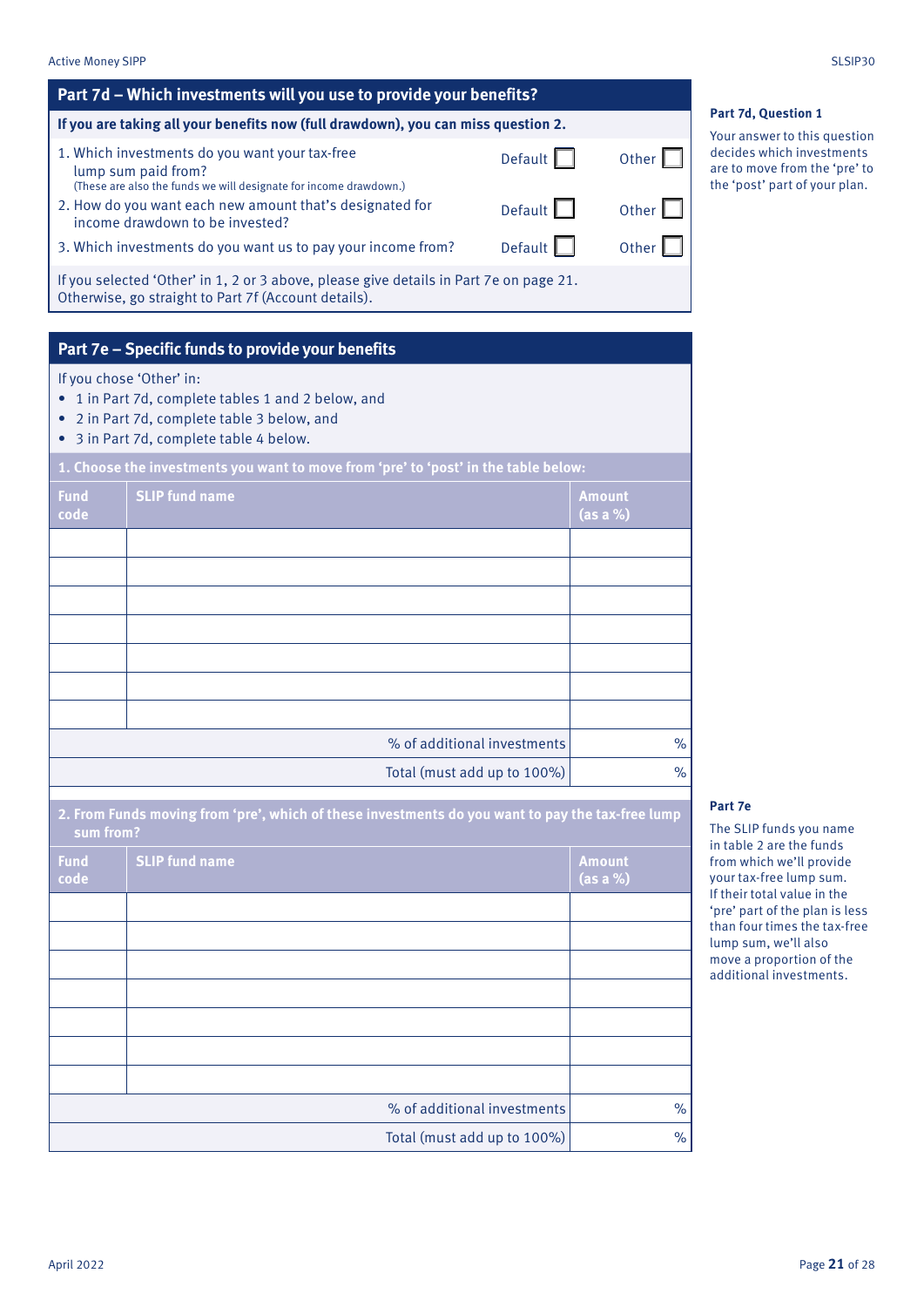| <b>Active Money SIPP</b> | SLSIP30 |
|--------------------------|---------|
|                          |         |

| <u>Part 7d – Which investments will you use to provide your benefits?</u>                                                                      |                |       |
|------------------------------------------------------------------------------------------------------------------------------------------------|----------------|-------|
| If you are taking all your benefits now (full drawdown), you can miss question 2.                                                              |                |       |
| 1. Which investments do you want your tax-free<br>lump sum paid from?<br>(These are also the funds we will designate for income drawdown.)     | Default        | Other |
| 2. How do you want each new amount that's designated for<br>income drawdown to be invested?                                                    | Default $\Box$ | Other |
| 3. Which investments do you want us to pay your income from?                                                                                   | Default $\Box$ | Other |
| If you selected 'Other' in 1, 2 or 3 above, please give details in Part 7e on page 21.<br>Otherwise, go straight to Part 7f (Account details). |                |       |

## **Part 7e – Specific funds to provide your benefits**

If you chose 'Other' in:

- 1 in Part 7d, complete tables 1 and 2 below, and
- 2 in Part 7d, complete table 3 below, and
- 3 in Part 7d, complete table 4 below.

| 1. Choose the investments you want to move from 'pre' to 'post' in the table below: |                             |                           |  |  |  |
|-------------------------------------------------------------------------------------|-----------------------------|---------------------------|--|--|--|
| <b>Fund</b><br>code                                                                 | <b>SLIP</b> fund name       | <b>Amount</b><br>(as a %) |  |  |  |
|                                                                                     |                             |                           |  |  |  |
|                                                                                     |                             |                           |  |  |  |
|                                                                                     |                             |                           |  |  |  |
|                                                                                     |                             |                           |  |  |  |
|                                                                                     |                             |                           |  |  |  |
|                                                                                     |                             |                           |  |  |  |
|                                                                                     |                             |                           |  |  |  |
|                                                                                     | % of additional investments | $\%$                      |  |  |  |
|                                                                                     | Total (must add up to 100%) | $\%$                      |  |  |  |

**2. From Funds moving from 'pre', which of these investments do you want to pay the tax-free lump sum from?**

| <b>Fund</b><br>code | <b>SLIP fund name</b>       | <b>Amount</b><br>(as a %) |
|---------------------|-----------------------------|---------------------------|
|                     |                             |                           |
|                     |                             |                           |
|                     |                             |                           |
|                     |                             |                           |
|                     |                             |                           |
|                     |                             |                           |
|                     |                             |                           |
|                     | % of additional investments | $\frac{0}{0}$             |
|                     | Total (must add up to 100%) | $\frac{0}{0}$             |

**Part 7d, Question 1**

Your answer to this question decides which investments are to move from the 'pre' to the 'post' part of your plan.

### **Part 7e**

The SLIP funds you name in table 2 are the funds from which we'll provide your tax-free lump sum. If their total value in the 'pre' part of the plan is less than four times the tax-free lump sum, we'll also move a proportion of the additional investments.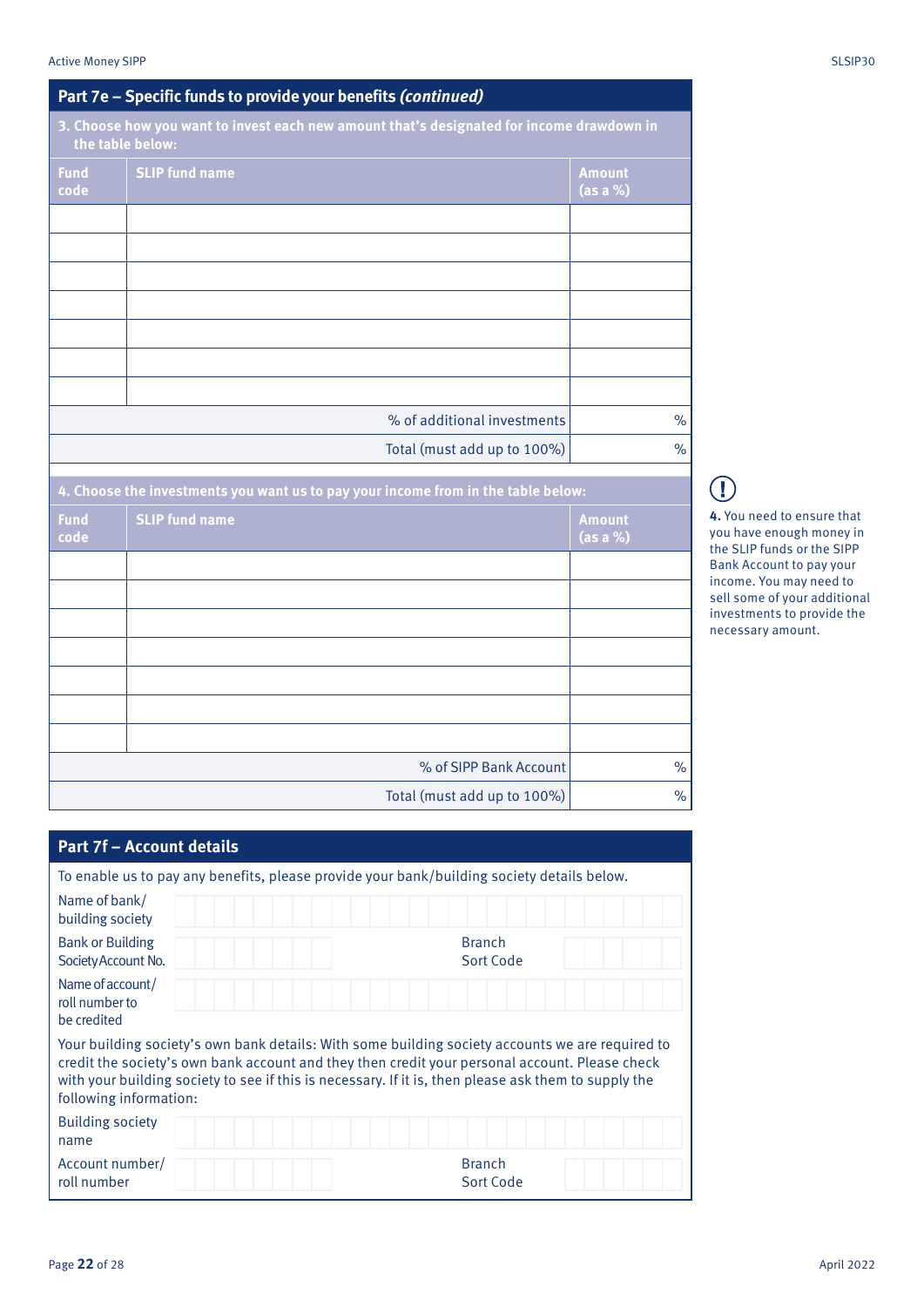|                                                                                                               | Part 7e – Specific funds to provide your benefits (continued)                     |                             |  |  |  |  |  |
|---------------------------------------------------------------------------------------------------------------|-----------------------------------------------------------------------------------|-----------------------------|--|--|--|--|--|
| 3. Choose how you want to invest each new amount that's designated for income drawdown in<br>the table below: |                                                                                   |                             |  |  |  |  |  |
| <b>Fund</b><br>code                                                                                           | <b>SLIP fund name</b>                                                             | <b>Amount</b><br>$(as a %)$ |  |  |  |  |  |
|                                                                                                               |                                                                                   |                             |  |  |  |  |  |
|                                                                                                               |                                                                                   |                             |  |  |  |  |  |
|                                                                                                               |                                                                                   |                             |  |  |  |  |  |
|                                                                                                               |                                                                                   |                             |  |  |  |  |  |
|                                                                                                               | % of additional investments                                                       | $\%$                        |  |  |  |  |  |
|                                                                                                               | Total (must add up to 100%)                                                       | $\%$                        |  |  |  |  |  |
|                                                                                                               | 4. Choose the investments you want us to pay your income from in the table below: |                             |  |  |  |  |  |
| <b>Fund</b><br>code                                                                                           | <b>SLIP fund name</b>                                                             | <b>Amount</b><br>$(as a %)$ |  |  |  |  |  |
|                                                                                                               |                                                                                   |                             |  |  |  |  |  |
|                                                                                                               |                                                                                   |                             |  |  |  |  |  |
|                                                                                                               |                                                                                   |                             |  |  |  |  |  |
|                                                                                                               |                                                                                   |                             |  |  |  |  |  |

# $\bigcap$

**4.** You need to ensure that you have enough money in the SLIP funds or the SIPP Bank Account to pay your income. You may need to sell some of your additional investments to provide the necessary amount.

| <b>Part 7f - Account details</b>                                                                                                                                                                                                                                                                                                     |                            |
|--------------------------------------------------------------------------------------------------------------------------------------------------------------------------------------------------------------------------------------------------------------------------------------------------------------------------------------|----------------------------|
|                                                                                                                                                                                                                                                                                                                                      |                            |
| To enable us to pay any benefits, please provide your bank/building society details below.                                                                                                                                                                                                                                           |                            |
| Name of bank/<br>building society                                                                                                                                                                                                                                                                                                    |                            |
| <b>Bank or Building</b><br>Society Account No.                                                                                                                                                                                                                                                                                       | <b>Branch</b><br>Sort Code |
| Name of account/<br>roll number to<br>be credited                                                                                                                                                                                                                                                                                    |                            |
| Your building society's own bank details: With some building society accounts we are required to<br>credit the society's own bank account and they then credit your personal account. Please check<br>with your building society to see if this is necessary. If it is, then please ask them to supply the<br>following information: |                            |
| <b>Building society</b><br>name                                                                                                                                                                                                                                                                                                      |                            |
| Account number/<br>roll number                                                                                                                                                                                                                                                                                                       | <b>Branch</b><br>Sort Code |

% of SIPP Bank Account | %

Total (must add up to 100%) |  $\%$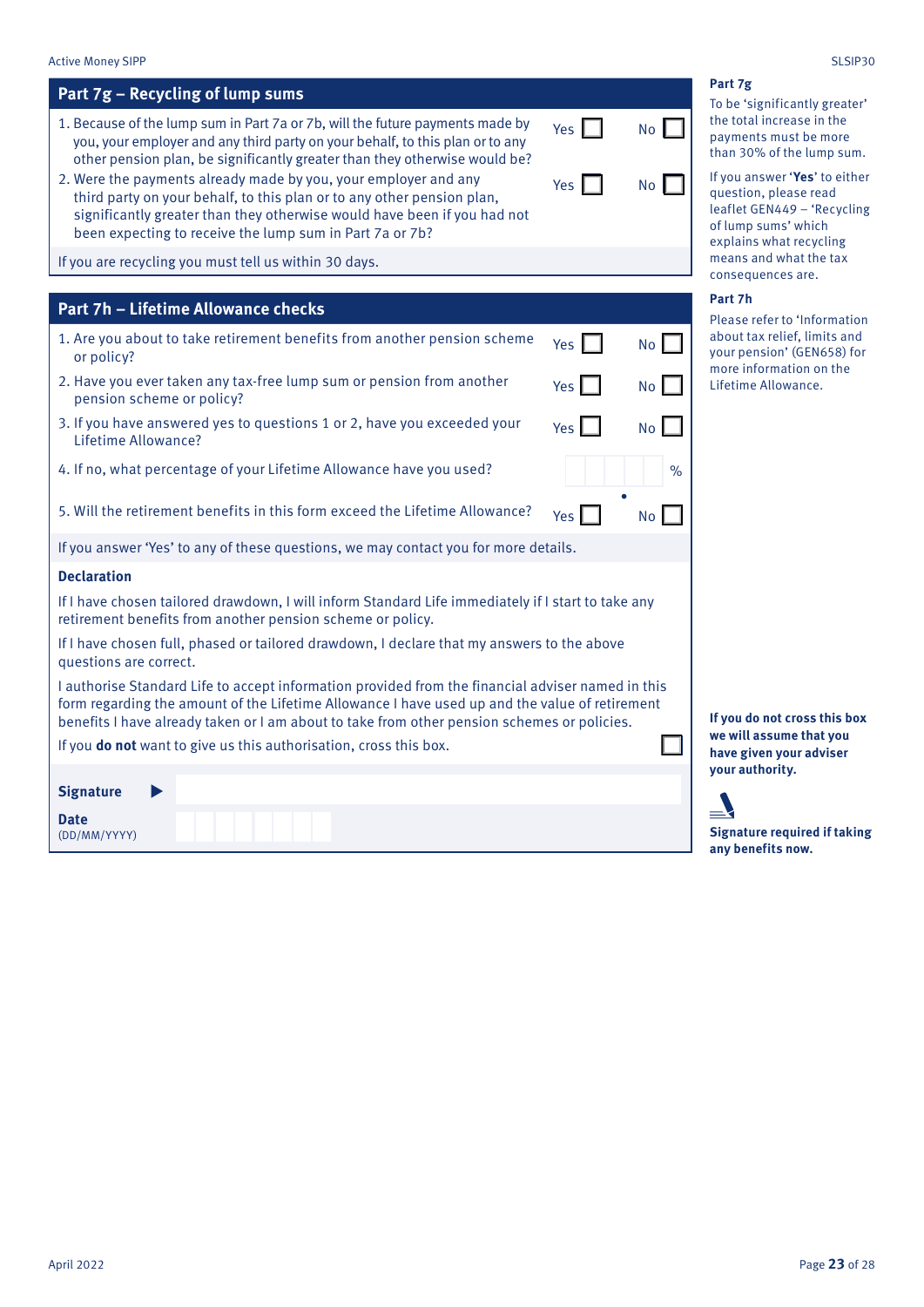## **Part 7g – Recycling of lump sums**

- 1. Because of the lump sum in Part 7a or 7b, will the future payments made by you, your employer and any third party on your behalf, to this plan or to any other pension plan, be significantly greater than they otherwise would be?
- 2. Were the payments already made by you, your employer and any third party on your behalf, to this plan or to any other pension plan, significantly greater than they otherwise would have been if you had not been expecting to receive the lump sum in Part 7a or 7b?

If you are recycling you must tell us within 30 days.

### **Part 7h – Lifetime Allowance checks**

- 1. Are you about to take retirement benefits from another pension scheme or policy?  $Yes \parallel Wo$ 2. Have you ever taken any tax-free lump sum or pension from another pension scheme or policy? Yes No
- 3. If you have answered yes to questions 1 or 2, have you exceeded your Lifetime Allowance?
- 4. If no, what percentage of your Lifetime Allowance have you used?

5. Will the retirement benefits in this form exceed the Lifetime Allowance?  $Y_{\text{es}}\Box$  No

If you answer 'Yes' to any of these questions, we may contact you for more details.

### **Declaration**

If I have chosen tailored drawdown, I will inform Standard Life immediately if I start to take any retirement benefits from another pension scheme or policy.

If I have chosen full, phased or tailored drawdown, I declare that my answers to the above questions are correct.

I authorise Standard Life to accept information provided from the financial adviser named in this form regarding the amount of the Lifetime Allowance I have used up and the value of retirement benefits I have already taken or I am about to take from other pension schemes or policies.

If you **do not** want to give us this authorisation, cross this box.

**Date** (DD/MM/YYYY)

**Signature**

| Yes | <b>No</b> |
|-----|-----------|
| Yes | No        |

Yes II No

**.**

| If you answer 'Yes' to either |
|-------------------------------|
| question, please read         |
| leaflet GEN449 - 'Recycling   |
| of lump sums' which           |
| explains what recycling       |
| means and what the tax        |
|                               |

consequences are.

To be 'significantly greater' the total increase in the payments must be more than 30% of the lump sum.

#### **Part 7h**

**Part 7g**

Please refer to 'Information about tax relief, limits and your pension' (GEN658) for more information on the Lifetime Allowance.

**If you do not cross this box we will assume that you have given your adviser your authority.**

### **Signature required if taking any benefits now.**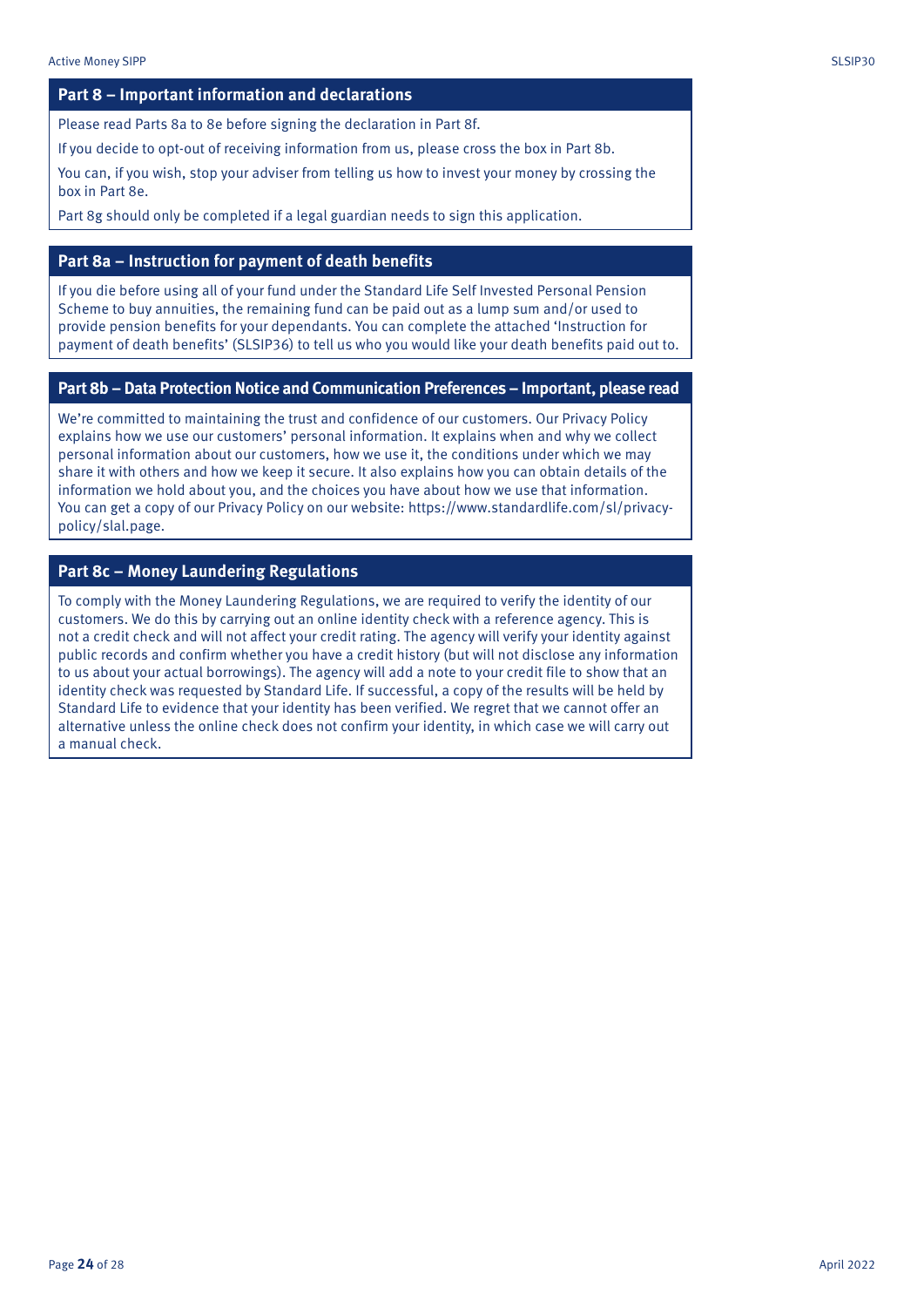### **Part 8 – Important information and declarations**

Please read Parts 8a to 8e before signing the declaration in Part 8f.

If you decide to opt-out of receiving information from us, please cross the box in Part 8b.

You can, if you wish, stop your adviser from telling us how to invest your money by crossing the box in Part 8e.

Part 8g should only be completed if a legal guardian needs to sign this application.

### **Part 8a – Instruction for payment of death benefits**

If you die before using all of your fund under the Standard Life Self Invested Personal Pension Scheme to buy annuities, the remaining fund can be paid out as a lump sum and/or used to provide pension benefits for your dependants. You can complete the attached 'Instruction for payment of death benefits' (SLSIP36) to tell us who you would like your death benefits paid out to.

### **Part 8b – Data Protection Notice and Communication Preferences – Important, please read**

We're committed to maintaining the trust and confidence of our customers. Our Privacy Policy explains how we use our customers' personal information. It explains when and why we collect personal information about our customers, how we use it, the conditions under which we may share it with others and how we keep it secure. It also explains how you can obtain details of the information we hold about you, and the choices you have about how we use that information. You can get a copy of our Privacy Policy on our website: https://www.standardlife.com/sl/privacypolicy/slal.page.

### **Part 8c – Money Laundering Regulations**

To comply with the Money Laundering Regulations, we are required to verify the identity of our customers. We do this by carrying out an online identity check with a reference agency. This is not a credit check and will not affect your credit rating. The agency will verify your identity against public records and confirm whether you have a credit history (but will not disclose any information to us about your actual borrowings). The agency will add a note to your credit file to show that an identity check was requested by Standard Life. If successful, a copy of the results will be held by Standard Life to evidence that your identity has been verified. We regret that we cannot offer an alternative unless the online check does not confirm your identity, in which case we will carry out a manual check.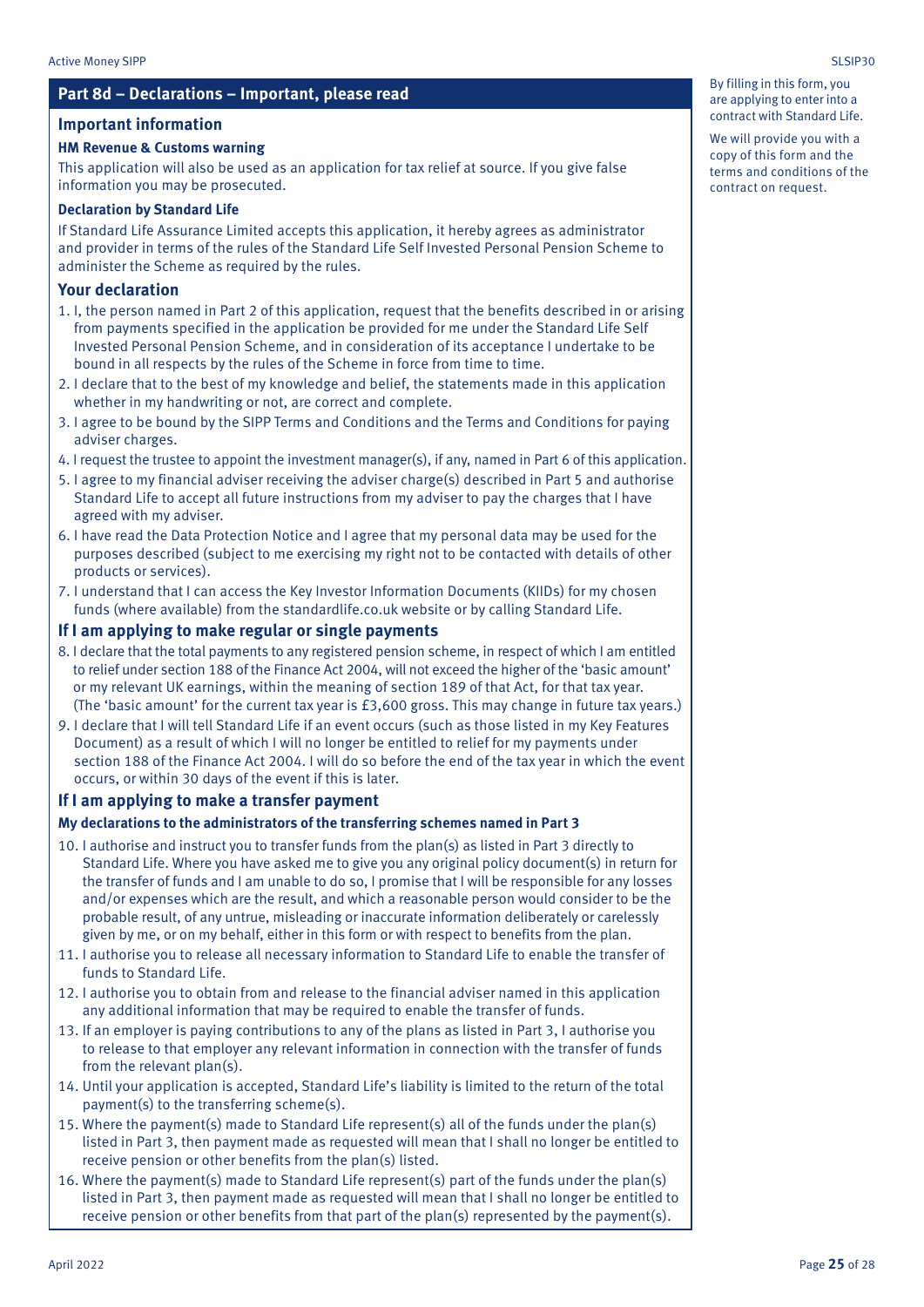### **Part 8d – Declarations – Important, please read**

### **Important information**

### **HM Revenue & Customs warning**

This application will also be used as an application for tax relief at source. If you give false information you may be prosecuted.

### **Declaration by Standard Life**

If Standard Life Assurance Limited accepts this application, it hereby agrees as administrator and provider in terms of the rules of the Standard Life Self Invested Personal Pension Scheme to administer the Scheme as required by the rules.

### **Your declaration**

- 1. I, the person named in Part 2 of this application, request that the benefits described in or arising from payments specified in the application be provided for me under the Standard Life Self Invested Personal Pension Scheme, and in consideration of its acceptance I undertake to be bound in all respects by the rules of the Scheme in force from time to time.
- 2. I declare that to the best of my knowledge and belief, the statements made in this application whether in my handwriting or not, are correct and complete.
- 3. I agree to be bound by the SIPP Terms and Conditions and the Terms and Conditions for paying adviser charges.
- 4. I request the trustee to appoint the investment manager(s), if any, named in Part 6 of this application.
- 5. I agree to my financial adviser receiving the adviser charge(s) described in Part 5 and authorise Standard Life to accept all future instructions from my adviser to pay the charges that I have agreed with my adviser.
- 6. I have read the Data Protection Notice and I agree that my personal data may be used for the purposes described (subject to me exercising my right not to be contacted with details of other products or services).
- 7. I understand that I can access the Key Investor Information Documents (KIIDs) for my chosen funds (where available) from the standardlife.co.uk website or by calling Standard Life.

### **If I am applying to make regular or single payments**

- 8. I declare that the total payments to any registered pension scheme, in respect of which I am entitled to relief under section 188 of the Finance Act 2004, will not exceed the higher of the 'basic amount' or my relevant UK earnings, within the meaning of section 189 of that Act, for that tax year. (The 'basic amount' for the current tax year is £3,600 gross. This may change in future tax years.)
- 9. I declare that I will tell Standard Life if an event occurs (such as those listed in my Key Features Document) as a result of which I will no longer be entitled to relief for my payments under section 188 of the Finance Act 2004. I will do so before the end of the tax year in which the event occurs, or within 30 days of the event if this is later.

### **If I am applying to make a transfer payment**

### **My declarations to the administrators of the transferring schemes named in Part 3**

- 10. I authorise and instruct you to transfer funds from the plan(s) as listed in Part 3 directly to Standard Life. Where you have asked me to give you any original policy document(s) in return for the transfer of funds and I am unable to do so, I promise that I will be responsible for any losses and/or expenses which are the result, and which a reasonable person would consider to be the probable result, of any untrue, misleading or inaccurate information deliberately or carelessly given by me, or on my behalf, either in this form or with respect to benefits from the plan.
- 11. I authorise you to release all necessary information to Standard Life to enable the transfer of funds to Standard Life.
- 12. I authorise you to obtain from and release to the financial adviser named in this application any additional information that may be required to enable the transfer of funds.
- 13. If an employer is paying contributions to any of the plans as listed in Part 3, I authorise you to release to that employer any relevant information in connection with the transfer of funds from the relevant plan(s).
- 14. Until your application is accepted, Standard Life's liability is limited to the return of the total payment(s) to the transferring scheme(s).
- 15. Where the payment(s) made to Standard Life represent(s) all of the funds under the plan(s) listed in Part 3, then payment made as requested will mean that I shall no longer be entitled to receive pension or other benefits from the plan(s) listed.
- 16. Where the payment(s) made to Standard Life represent(s) part of the funds under the plan(s) listed in Part 3, then payment made as requested will mean that I shall no longer be entitled to receive pension or other benefits from that part of the plan(s) represented by the payment(s).

By filling in this form, you are applying to enter into a contract with Standard Life.

We will provide you with a copy of this form and the terms and conditions of the contract on request.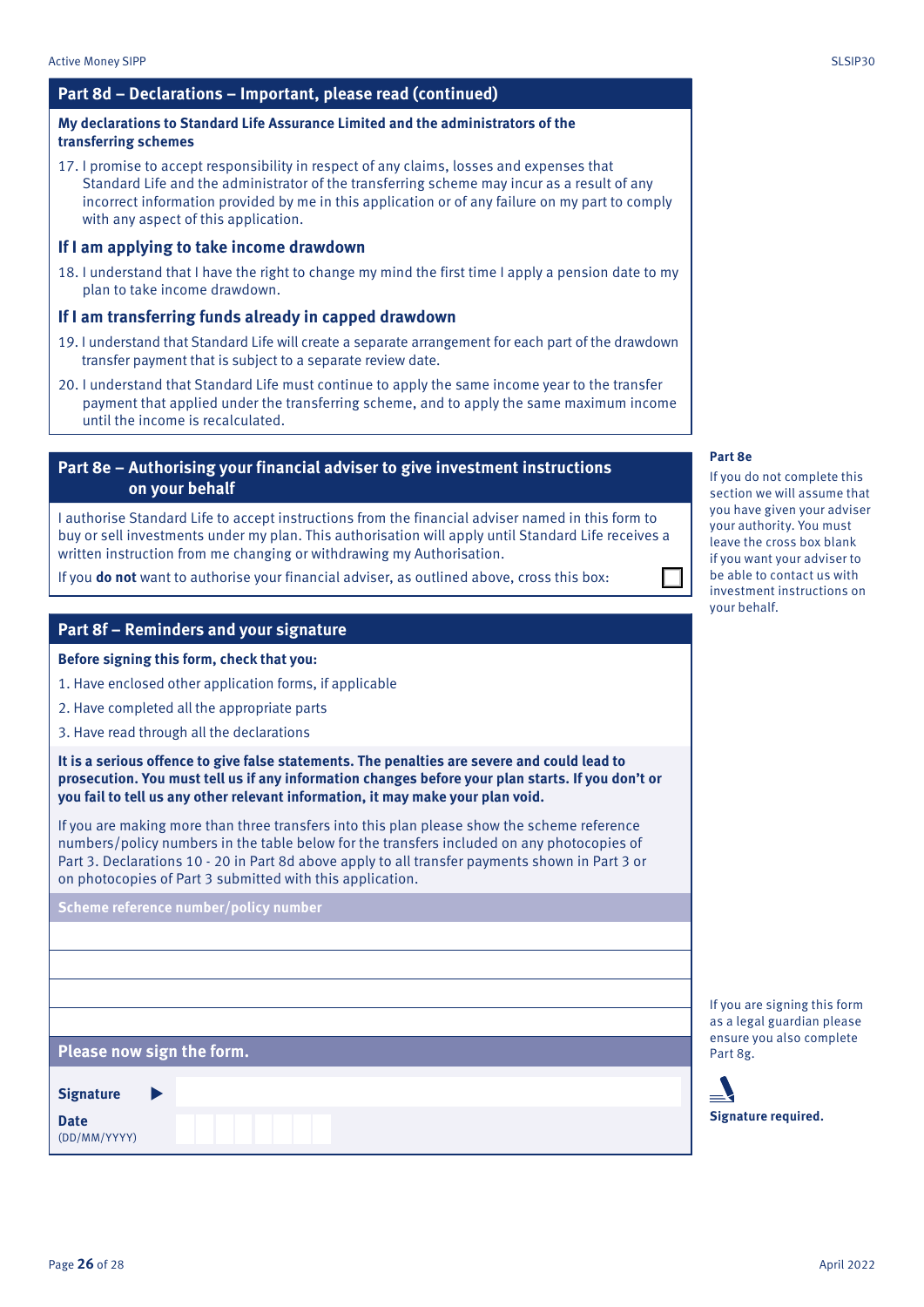### **Part 8d – Declarations – Important, please read (continued)**

### **My declarations to Standard Life Assurance Limited and the administrators of the transferring schemes**

17. I promise to accept responsibility in respect of any claims, losses and expenses that Standard Life and the administrator of the transferring scheme may incur as a result of any incorrect information provided by me in this application or of any failure on my part to comply with any aspect of this application.

### **If I am applying to take income drawdown**

18. I understand that I have the right to change my mind the first time I apply a pension date to my plan to take income drawdown.

### **If I am transferring funds already in capped drawdown**

- 19. I understand that Standard Life will create a separate arrangement for each part of the drawdown transfer payment that is subject to a separate review date.
- 20. I understand that Standard Life must continue to apply the same income year to the transfer payment that applied under the transferring scheme, and to apply the same maximum income until the income is recalculated.

### **Part 8e – Authorising your financial adviser to give investment instructions on your behalf**

I authorise Standard Life to accept instructions from the financial adviser named in this form to buy or sell investments under my plan. This authorisation will apply until Standard Life receives a written instruction from me changing or withdrawing my Authorisation.

If you **do not** want to authorise your financial adviser, as outlined above, cross this box:

### **Part 8f – Reminders and your signature**

**Before signing this form, check that you:**

- 1. Have enclosed other application forms, if applicable
- 2. Have completed all the appropriate parts
- 3. Have read through all the declarations

**It is a serious offence to give false statements. The penalties are severe and could lead to prosecution. You must tell us if any information changes before your plan starts. If you don't or you fail to tell us any other relevant information, it may make your plan void.**

If you are making more than three transfers into this plan please show the scheme reference numbers/policy numbers in the table below for the transfers included on any photocopies of Part 3. Declarations 10 - 20 in Part 8d above apply to all transfer payments shown in Part 3 or on photocopies of Part 3 submitted with this application.

**Scheme reference number/policy number**

**Please now sign the form.**

**Date** (DD/MM/YYYY)

**Signature**

**Part 8e**

If you do not complete this section we will assume that you have given your adviser your authority. You must leave the cross box blank if you want your adviser to be able to contact us with investment instructions on your behalf.

If you are signing this form as a legal guardian please ensure you also complete Part 8g.

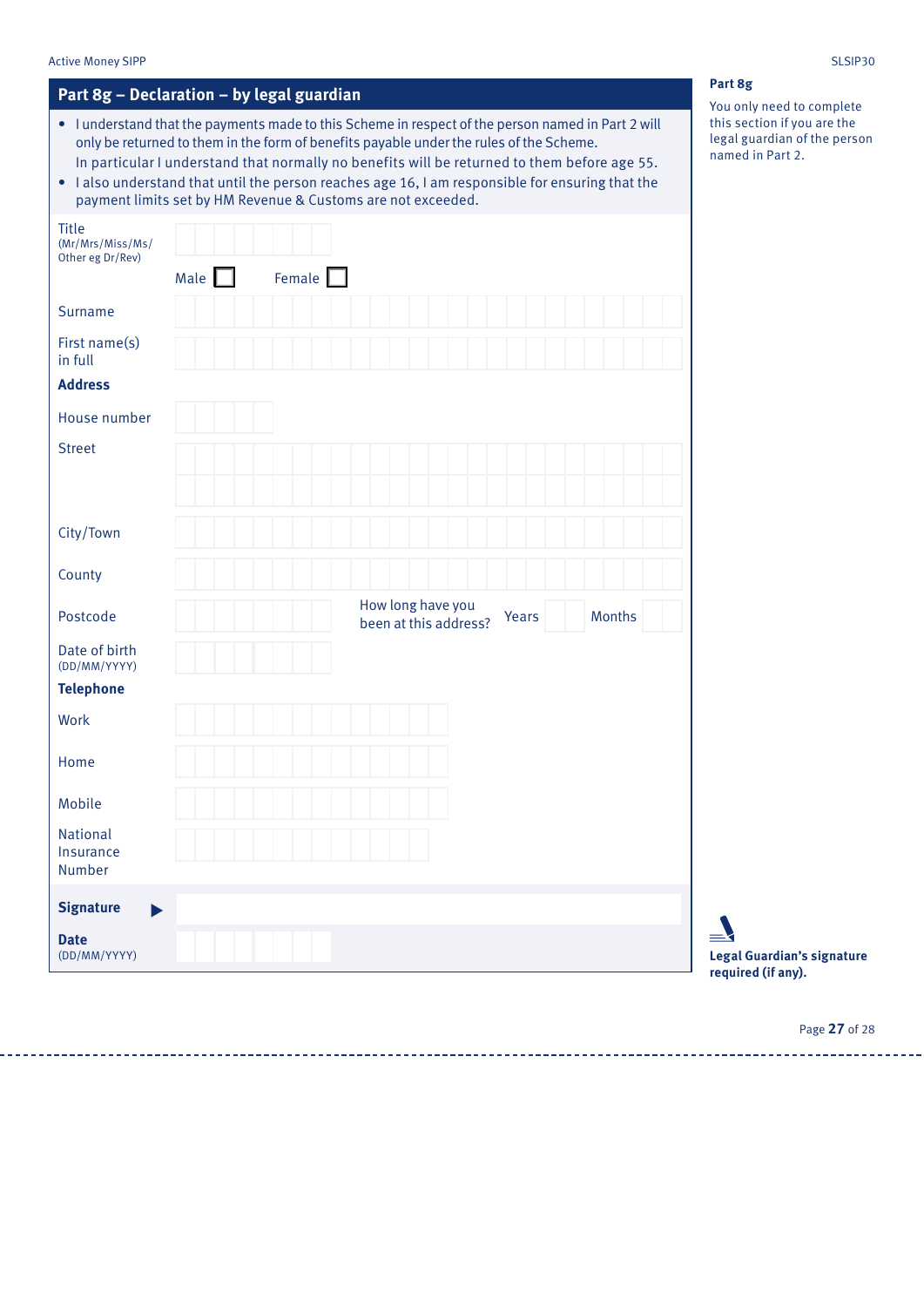#### Active Money SIPP SLSIP30

| Part 8g - Declaration - by legal guardian |  |  |  |  |
|-------------------------------------------|--|--|--|--|
|-------------------------------------------|--|--|--|--|

- I understand that the payments made to this Scheme in respect of the person named in Part 2 will only be returned to them in the form of benefits payable under the rules of the Scheme. In particular I understand that normally no benefits will be returned to them before age 55.
- I also understand that until the person reaches age 16, I am responsible for ensuring that the payment limits set by HM Revenue & Customs are not exceeded.

| <b>Title</b><br>(Mr/Mrs/Miss/Ms/<br>Other eg Dr/Rev) | Male $\Box$ | Female $\Box$ |                                            |       |               |  |
|------------------------------------------------------|-------------|---------------|--------------------------------------------|-------|---------------|--|
| Surname                                              |             |               |                                            |       |               |  |
| First name(s)<br>in full                             |             |               |                                            |       |               |  |
| <b>Address</b>                                       |             |               |                                            |       |               |  |
| House number                                         |             |               |                                            |       |               |  |
| <b>Street</b>                                        |             |               |                                            |       |               |  |
| City/Town                                            |             |               |                                            |       |               |  |
| County                                               |             |               |                                            |       |               |  |
| Postcode                                             |             |               | How long have you<br>been at this address? | Years | <b>Months</b> |  |
| Date of birth<br>(DD/MM/YYYY)                        |             |               |                                            |       |               |  |
| <b>Telephone</b>                                     |             |               |                                            |       |               |  |
| Work                                                 |             |               |                                            |       |               |  |
| Home                                                 |             |               |                                            |       |               |  |
| Mobile                                               |             |               |                                            |       |               |  |
| <b>National</b><br>Insurance<br>Number               |             |               |                                            |       |               |  |
| <b>Signature</b><br>$\blacktriangleright$            |             |               |                                            |       |               |  |
| <b>Date</b><br>(DD/MM/YYYY)                          |             |               |                                            |       |               |  |

### **Part 8g**

You only need to complete this section if you are the legal guardian of the person named in Part 2.

**Legal Guardian's signature required (if any).**

Page **27** of 28